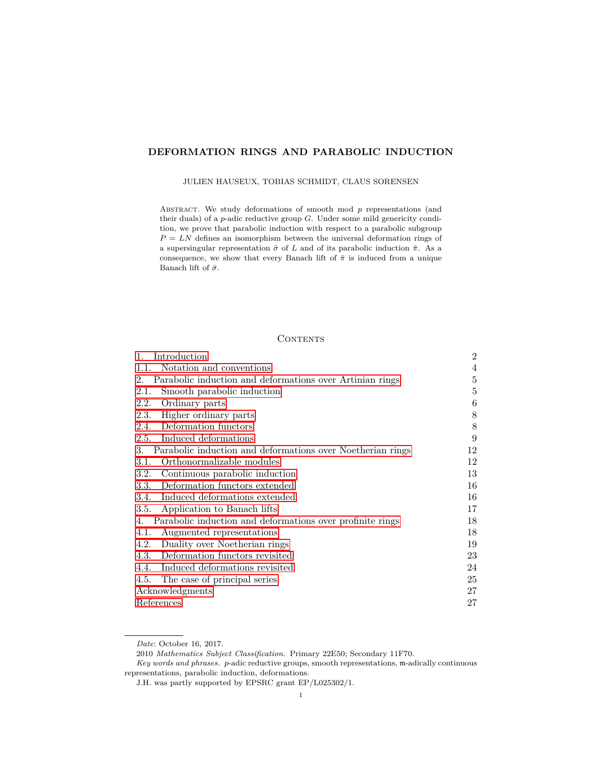# <span id="page-0-0"></span>**DEFORMATION RINGS AND PARABOLIC INDUCTION**

#### JULIEN HAUSEUX, TOBIAS SCHMIDT, CLAUS SORENSEN

ABSTRACT. We study deformations of smooth mod  $p$  representations (and their duals) of a *p*-adic reductive group *G*. Under some mild genericity condition, we prove that parabolic induction with respect to a parabolic subgroup  $P = LN$  defines an isomorphism between the universal deformation rings of a supersingular representation  $\bar{\sigma}$  of *L* and of its parabolic induction  $\bar{\pi}$ . As a consequence, we show that every Banach lift of  $\bar{\pi}$  is induced from a unique Banach lift of  $\bar{\sigma}$ .

## **CONTENTS**

| 1.<br>Introduction                                                      | $\overline{2}$ |
|-------------------------------------------------------------------------|----------------|
| Notation and conventions<br>1.1.                                        | 4              |
| Parabolic induction and deformations over Artinian rings<br>$2^{\circ}$ | 5              |
| Smooth parabolic induction<br>2.1.                                      | 5              |
| 2.2.<br>Ordinary parts                                                  | 6              |
| Higher ordinary parts<br>2.3.                                           | 8              |
| Deformation functors<br>2.4.                                            | 8              |
| Induced deformations<br>2.5.                                            | 9              |
| Parabolic induction and deformations over Noetherian rings<br>3.        | 12             |
| Orthonormalizable modules<br>3.1.                                       | 12             |
| Continuous parabolic induction<br>3.2.                                  | 13             |
| Deformation functors extended<br>3.3.                                   | 16             |
| Induced deformations extended<br>3.4.                                   | 16             |
| Application to Banach lifts<br>3.5.                                     | 17             |
| Parabolic induction and deformations over profinite rings<br>4.         | 18             |
| Augmented representations<br>4.1.                                       | 18             |
| 4.2.<br>Duality over Noetherian rings                                   | 19             |
| Deformation functors revisited<br>4.3.                                  | 23             |
| 4.4.<br>Induced deformations revisited                                  | 24             |
| The case of principal series<br>4.5.                                    | 25             |
| Acknowledgments                                                         | 27             |
| References                                                              | 27             |

*Date*: October 16, 2017.

<sup>2010</sup> *Mathematics Subject Classification.* Primary 22E50; Secondary 11F70.

*Key words and phrases. p*-adic reductive groups, smooth representations, m-adically continuous representations, parabolic induction, deformations.

J.H. was partly supported by EPSRC grant EP/L025302/1.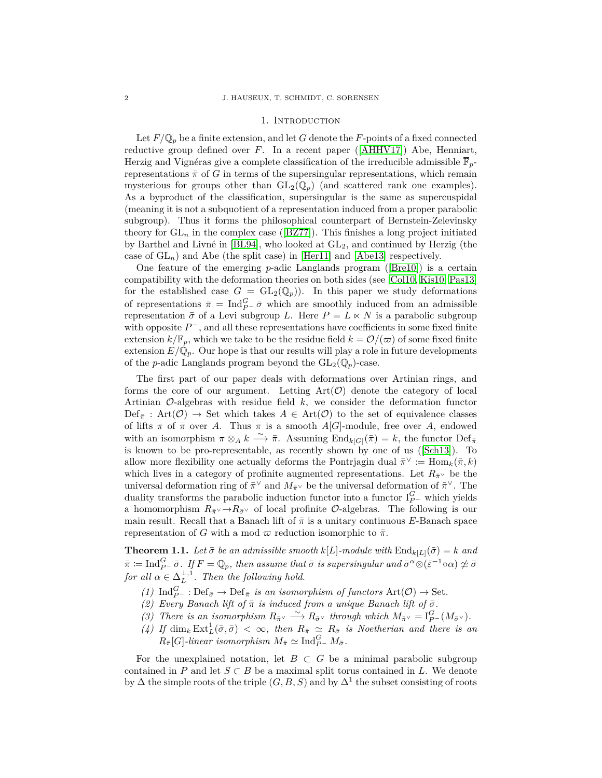#### 1. INTRODUCTION

<span id="page-1-0"></span>Let  $F/\mathbb{Q}_p$  be a finite extension, and let *G* denote the *F*-points of a fixed connected reductive group defined over *F*. In a recent paper ([\[AHHV17\]](#page-26-2)) Abe, Henniart, Herzig and Vignéras give a complete classification of the irreducible admissible  $\overline{\mathbb{F}}_p$ representations  $\bar{\pi}$  of *G* in terms of the supersingular representations, which remain mysterious for groups other than  $GL_2(\mathbb{Q}_p)$  (and scattered rank one examples). As a byproduct of the classification, supersingular is the same as supercuspidal (meaning it is not a subquotient of a representation induced from a proper parabolic subgroup). Thus it forms the philosophical counterpart of Bernstein-Zelevinsky theory for  $GL_n$  in the complex case ([\[BZ77\]](#page-26-3)). This finishes a long project initiated by Barthel and Livné in [\[BL94\]](#page-26-4), who looked at GL2, and continued by Herzig (the case of  $GL_n$ ) and Abe (the split case) in [\[Her11\]](#page-26-5) and [\[Abe13\]](#page-26-6) respectively.

One feature of the emerging *p*-adic Langlands program ([\[Bre10\]](#page-26-7)) is a certain compatibility with the deformation theories on both sides (see [\[Col10,](#page-26-8) [Kis10,](#page-26-9) [Pas13\]](#page-26-10) for the established case  $G = GL_2(\mathbb{Q}_p)$ . In this paper we study deformations of representations  $\bar{\pi} = \text{Ind}_{P^-}^G \bar{\sigma}$  which are smoothly induced from an admissible representation  $\bar{\sigma}$  of a Levi subgroup *L*. Here  $P = L \times N$  is a parabolic subgroup with opposite  $P^-$ , and all these representations have coefficients in some fixed finite extension  $k/\mathbb{F}_p$ , which we take to be the residue field  $k = \mathcal{O}/(\varpi)$  of some fixed finite extension  $E/\mathbb{Q}_p$ . Our hope is that our results will play a role in future developments of the *p*-adic Langlands program beyond the  $GL_2(\mathbb{Q}_p)$ -case.

The first part of our paper deals with deformations over Artinian rings, and forms the core of our argument. Letting  $Art(\mathcal{O})$  denote the category of local Artinian O-algebras with residue field *k*, we consider the deformation functor  $Def_{\bar{\pi}}: Art(\mathcal{O}) \rightarrow Set$  which takes  $A \in Art(\mathcal{O})$  to the set of equivalence classes of lifts  $\pi$  of  $\bar{\pi}$  over *A*. Thus  $\pi$  is a smooth *A*[*G*]-module, free over *A*, endowed with an isomorphism  $\pi \otimes_A k \stackrel{\sim}{\longrightarrow} \bar{\pi}$ . Assuming  $\text{End}_{k[G]}(\bar{\pi}) = k$ , the functor  $\text{Def}_{\bar{\pi}}$ is known to be pro-representable, as recently shown by one of us ([\[Sch13\]](#page-27-0)). To allow more flexibility one actually deforms the Pontrjagin dual  $\bar{\pi}^{\vee} := \text{Hom}_k(\bar{\pi}, k)$ which lives in a category of profinite augmented representations. Let  $R_{\bar{\pi}}$  be the universal deformation ring of  $\bar{\pi}^{\vee}$  and  $M_{\bar{\pi}^{\vee}}$  be the universal deformation of  $\bar{\pi}^{\vee}$ . The duality transforms the parabolic induction functor into a functor  $I_{P}^G$  which yields a homomorphism  $R_{\bar{\sigma}} \vee \rightarrow R_{\bar{\sigma}} \vee$  of local profinite  $\mathcal{O}$ -algebras. The following is our main result. Recall that a Banach lift of  $\bar{\pi}$  is a unitary continuous E-Banach space representation of *G* with a mod  $\varpi$  reduction isomorphic to  $\bar{\pi}$ .

<span id="page-1-1"></span>**Theorem 1.1.** Let  $\bar{\sigma}$  be an admissible smooth  $k[L]$ -module with  $\text{End}_{k[L]}(\bar{\sigma}) = k$  and  $\bar{\pi} := \text{Ind}_{P^-}^G \bar{\sigma}$ *. If*  $F = \mathbb{Q}_p$ *, then assume that*  $\bar{\sigma}$  *is supersingular and*  $\bar{\sigma}^{\alpha} \otimes (\bar{\varepsilon}^{-1} \circ \alpha) \not\simeq \bar{\sigma}$ *for all*  $\alpha \in \Delta_L^{\perp,1}$ *. Then the following hold.* 

- $(1)$  Ind $_{P^-}^G$ : Def<sub> $\bar{\sigma}$ </sub>  $\rightarrow$  Def<sub> $\bar{\pi}$ </sub> *is an isomorphism of functors* Art $(\mathcal{O})$   $\rightarrow$  Set.
- *(2) Every Banach lift of*  $\bar{\pi}$  *is induced from a unique Banach lift of*  $\bar{\sigma}$ *.*
- *(3) There is an isomorphism*  $R_{\bar{\pi}} \vee \longrightarrow R_{\bar{\sigma}} \vee throught$  *through which*  $M_{\bar{\pi}} \vee = I_{P^-}^G(M_{\bar{\sigma}} \vee)$ *.*
- $(4)$  *If* dim<sub>k</sub> Ext<sub> $L$ </sub><sup>1</sup>( $\bar{\sigma}$ ,  $\bar{\sigma}$ )  $<\infty$ , then  $R_{\bar{\pi}} \simeq R_{\bar{\sigma}}$  *is Noetherian and there is an*  $R_{\bar{\pi}}[G]$ -linear isomorphism  $M_{\bar{\pi}} \simeq \text{Ind}_{P^-}^G M_{\bar{\sigma}}$ .

For the unexplained notation, let  $B \subset G$  be a minimal parabolic subgroup contained in *P* and let  $S \subset B$  be a maximal split torus contained in *L*. We denote by  $\Delta$  the simple roots of the triple  $(G, B, S)$  and by  $\Delta^1$  the subset consisting of roots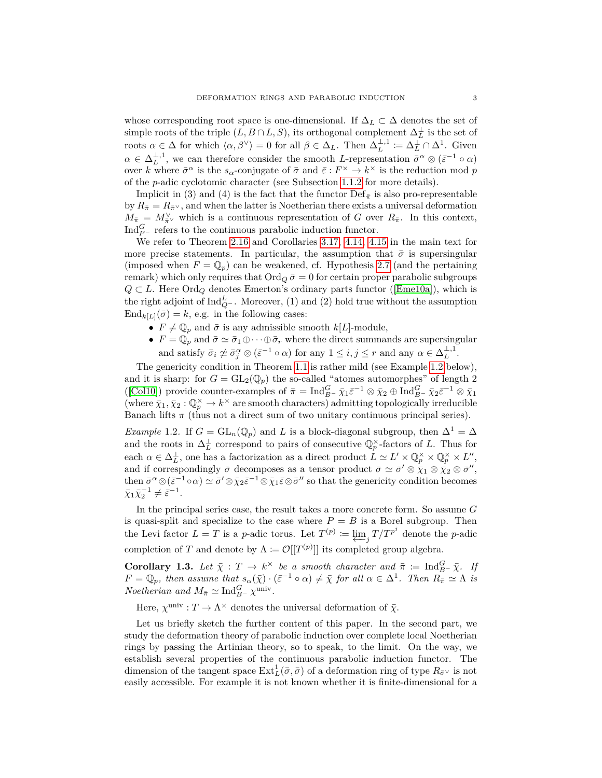whose corresponding root space is one-dimensional. If  $\Delta_L \subset \Delta$  denotes the set of simple roots of the triple  $(L, B \cap L, S)$ , its orthogonal complement  $\Delta_L^{\perp}$  is the set of roots  $\alpha \in \Delta$  for which  $\langle \alpha, \beta^{\vee} \rangle = 0$  for all  $\beta \in \Delta_L$ . Then  $\Delta_L^{\perp,1} := \Delta_L^{\perp} \cap \Delta^1$ . Given  $\alpha \in \Delta_L^{\perp,1}$ , we can therefore consider the smooth *L*-representation  $\bar{\sigma}^{\alpha} \otimes (\bar{\varepsilon}^{-1} \circ \alpha)$ over *k* where  $\bar{\sigma}^{\alpha}$  is the *s*<sub>α</sub>-conjugate of  $\bar{\sigma}$  and  $\bar{\varepsilon}: F^{\times} \to k^{\times}$  is the reduction mod *p* of the *p*-adic cyclotomic character (see Subsection [1.1.2](#page-4-2) for more details).

Implicit in (3) and (4) is the fact that the functor  $\text{Def}_{\bar{\pi}}$  is also pro-representable by  $R_{\bar{\pi}} = R_{\bar{\pi}^\vee}$ , and when the latter is Noetherian there exists a universal deformation  $M_{\bar{\pi}} = M_{\bar{\pi}}^{\vee}$  which is a continuous representation of *G* over  $R_{\bar{\pi}}$ . In this context, Ind $_{P}^{G}$  – refers to the continuous parabolic induction functor.

We refer to Theorem [2.16](#page-9-0) and Corollaries [3.17,](#page-17-2) [4.14,](#page-24-1) [4.15](#page-24-2) in the main text for more precise statements. In particular, the assumption that  $\bar{\sigma}$  is supersingular (imposed when  $F = \mathbb{Q}_p$ ) can be weakened, cf. Hypothesis [2.7](#page-7-2) (and the pertaining remark) which only requires that  $\text{Ord}_Q\bar{\sigma}=0$  for certain proper parabolic subgroups  $Q \subset L$ . Here Ord<sub>Q</sub> denotes Emerton's ordinary parts functor ([\[Eme10a\]](#page-26-11)), which is the right adjoint of  $\text{Ind}_{Q}^L$ . Moreover, (1) and (2) hold true without the assumption  $\text{End}_{k[L]}(\bar{\sigma}) = k$ , e.g. in the following cases:

- $F \neq \mathbb{Q}_p$  and  $\bar{\sigma}$  is any admissible smooth  $k[L]$ -module,
- $F = \mathbb{Q}_p$  and  $\bar{\sigma} \simeq \bar{\sigma}_1 \oplus \cdots \oplus \bar{\sigma}_r$  where the direct summands are supersingular and satisfy  $\bar{\sigma}_i \not\approx \bar{\sigma}_j^{\alpha} \otimes (\bar{\varepsilon}^{-1} \circ \alpha)$  for any  $1 \leq i, j \leq r$  and any  $\alpha \in \Delta_L^{\perp,1}$ .

The genericity condition in Theorem [1.1](#page-1-1) is rather mild (see Example [1.2](#page-2-0) below), and it is sharp: for  $G = GL_2(\mathbb{Q}_p)$  the so-called "atomes automorphes" of length 2 ([\[Col10\]](#page-26-8)) provide counter-examples of  $\bar{\pi} = \text{Ind}_{B}^G$   $\bar{\chi}_1 \bar{\varepsilon}^{-1} \otimes \bar{\chi}_2 \oplus \text{Ind}_{B}^G$   $\bar{\chi}_2 \bar{\varepsilon}^{-1} \otimes \bar{\chi}_1$ (where  $\bar{\chi}_1, \bar{\chi}_2 : \mathbb{Q}_p^{\times} \to k^{\times}$  are smooth characters) admitting topologically irreducible Banach lifts  $\pi$  (thus not a direct sum of two unitary continuous principal series).

<span id="page-2-0"></span>*Example* 1.2. If  $G = GL_n(\mathbb{Q}_p)$  and *L* is a block-diagonal subgroup, then  $\Delta^1 = \Delta$ and the roots in  $\Delta_L^{\perp}$  correspond to pairs of consecutive  $\mathbb{Q}_p^{\times}$ -factors of *L*. Thus for  $\text{each } \alpha \in \Delta_L^{\perp}$ , one has a factorization as a direct product  $\hat{L} \simeq L' \times \mathbb{Q}_p^{\times} \times \mathbb{Q}_p^{\times} \times L''$ , and if correspondingly  $\bar{\sigma}$  decomposes as a tensor product  $\bar{\sigma} \simeq \bar{\sigma}' \otimes \bar{\chi}_1 \otimes \bar{\chi}_2 \otimes \bar{\sigma}'$ , then  $\bar{\sigma}^{\alpha} \otimes (\bar{\varepsilon}^{-1} \circ \alpha) \simeq \bar{\sigma}' \otimes \bar{\chi}_2 \bar{\varepsilon}^{-1} \otimes \bar{\chi}_1 \bar{\varepsilon} \otimes \bar{\sigma}''$  so that the genericity condition becomes  $\bar{\chi}_1 \bar{\chi}_2^{-1} \neq \bar{\varepsilon}^{-1}.$ 

In the principal series case, the result takes a more concrete form. So assume *G* is quasi-split and specialize to the case where  $P = B$  is a Borel subgroup. Then the Levi factor  $L = T$  is a *p*-adic torus. Let  $T^{(p)} \coloneqq \underbrace{\lim}_{j} T / T^{p^j}$  denote the *p*-adic completion of *T* and denote by  $\Lambda := \mathcal{O}[[T^{(p)}]]$  its completed group algebra.

**Corollary 1.3.** Let  $\bar{\chi}: T \to k^{\times}$  be a smooth character and  $\bar{\pi} := \text{Ind}_{B^{-}}^{G} \bar{\chi}$ . If  $F = \mathbb{Q}_p$ , then assume that  $s_\alpha(\bar{\chi}) \cdot (\bar{\varepsilon}^{-1} \circ \alpha) \neq \bar{\chi}$  for all  $\alpha \in \Delta^1$ . Then  $R_{\bar{\pi}} \simeq \Lambda$  is *Noetherian and*  $M_{\bar{\pi}} \simeq \text{Ind}_{B^-}^G \chi^{\text{univ}}$ .

Here,  $\chi^{\text{univ}}: T \to \Lambda^\times$  denotes the universal deformation of  $\bar{\chi}$ .

Let us briefly sketch the further content of this paper. In the second part, we study the deformation theory of parabolic induction over complete local Noetherian rings by passing the Artinian theory, so to speak, to the limit. On the way, we establish several properties of the continuous parabolic induction functor. The dimension of the tangent space  $\text{Ext}^1_L(\bar{\sigma}, \bar{\sigma})$  of a deformation ring of type  $R_{\bar{\sigma}}\vee$  is not easily accessible. For example it is not known whether it is finite-dimensional for a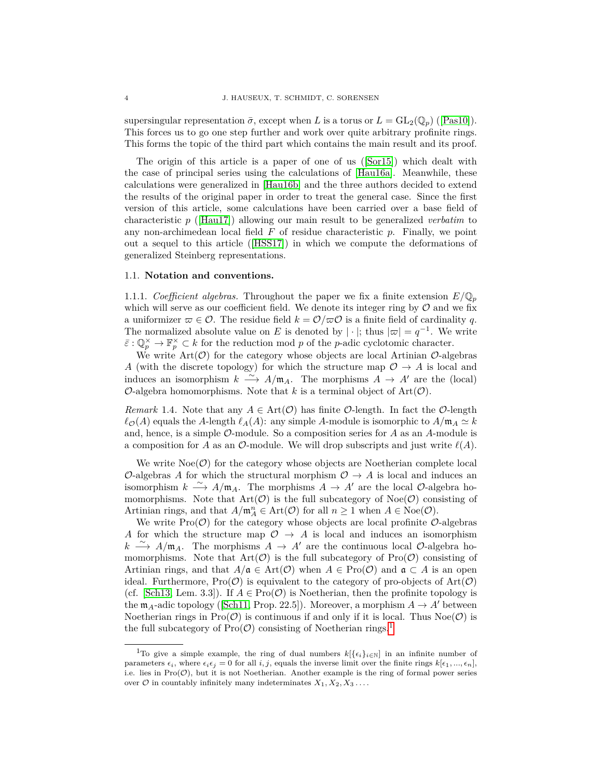supersingular representation  $\bar{\sigma}$ , except when *L* is a torus or  $L = GL_2(\mathbb{Q}_p)$  ([\[Pas10\]](#page-26-12)). This forces us to go one step further and work over quite arbitrary profinite rings. This forms the topic of the third part which contains the main result and its proof.

The origin of this article is a paper of one of us ([\[Sor15\]](#page-27-1)) which dealt with the case of principal series using the calculations of [\[Hau16a\]](#page-26-13). Meanwhile, these calculations were generalized in [\[Hau16b\]](#page-26-14) and the three authors decided to extend the results of the original paper in order to treat the general case. Since the first version of this article, some calculations have been carried over a base field of characteristic *p* ([\[Hau17\]](#page-26-15)) allowing our main result to be generalized *verbatim* to any non-archimedean local field *F* of residue characteristic *p*. Finally, we point out a sequel to this article ([\[HSS17\]](#page-26-16)) in which we compute the deformations of generalized Steinberg representations.

#### <span id="page-3-0"></span>1.1. **Notation and conventions.**

1.1.1. *Coefficient algebras*. Throughout the paper we fix a finite extension  $E/\mathbb{Q}_p$ which will serve as our coefficient field. We denote its integer ring by  $\mathcal O$  and we fix a uniformizer  $\varpi \in \mathcal{O}$ . The residue field  $k = \mathcal{O}/\varpi \mathcal{O}$  is a finite field of cardinality q. The normalized absolute value on *E* is denoted by  $|\cdot|$ ; thus  $|\varpi| = q^{-1}$ . We write  $\bar{\varepsilon}$  :  $\mathbb{Q}_p^{\times} \to \mathbb{F}_p^{\times} \subset k$  for the reduction mod *p* of the *p*-adic cyclotomic character.

We write  $\mathrm{Art}(\mathcal{O})$  for the category whose objects are local Artinian  $\mathcal{O}\text{-algebras}$ *A* (with the discrete topology) for which the structure map  $O \rightarrow A$  is local and induces an isomorphism  $k \stackrel{\sim}{\longrightarrow} A/\mathfrak{m}_A$ . The morphisms  $A \to A'$  are the (local)  $\mathcal{O}$ -algebra homomorphisms. Note that *k* is a terminal object of Art $(\mathcal{O})$ .

<span id="page-3-2"></span>*Remark* 1.4. Note that any  $A \in \text{Art}(\mathcal{O})$  has finite  $\mathcal{O}$ -length. In fact the  $\mathcal{O}$ -length  $\ell_{\mathcal{O}}(A)$  equals the *A*-length  $\ell_A(A)$ : any simple *A*-module is isomorphic to  $A/\mathfrak{m}_A \simeq k$ and, hence, is a simple O-module. So a composition series for *A* as an *A*-module is a composition for *A* as an  $\mathcal{O}\text{-module}$ . We will drop subscripts and just write  $\ell(A)$ .

We write  $Noe(\mathcal{O})$  for the category whose objects are Noetherian complete local O-algebras A for which the structural morphism  $\mathcal{O} \rightarrow A$  is local and induces an isomorphism  $k \stackrel{\sim}{\longrightarrow} A/\mathfrak{m}_A$ . The morphisms  $A \to A'$  are the local  $\mathcal{O}\text{-algebra}$  homomorphisms. Note that  $Art(\mathcal{O})$  is the full subcategory of  $Noe(\mathcal{O})$  consisting of Artinian rings, and that  $A/\mathfrak{m}_A^n \in \text{Art}(\mathcal{O})$  for all  $n \geq 1$  when  $A \in \text{Noe}(\mathcal{O})$ .

We write  $\text{Pro}(\mathcal{O})$  for the category whose objects are local profinite  $\mathcal{O}\text{-algebras}$ *A* for which the structure map  $O \rightarrow A$  is local and induces an isomorphism *k*  $\xrightarrow{\sim}$  *A*/m<sub>*A*</sub>. The morphisms *A* → *A*<sup>*'*</sup> are the continuous local *O*-algebra homomorphisms. Note that  $Art(\mathcal{O})$  is the full subcategory of  $Pro(\mathcal{O})$  consisting of Artinian rings, and that  $A/\mathfrak{a} \in \text{Art}(\mathcal{O})$  when  $A \in \text{Pro}(\mathcal{O})$  and  $\mathfrak{a} \subset A$  is an open ideal. Furthermore,  $\text{Pro}(\mathcal{O})$  is equivalent to the category of pro-objects of  $\text{Art}(\mathcal{O})$ (cf. [\[Sch13,](#page-27-0) Lem. 3.3]). If  $A \in \text{Pro}(\mathcal{O})$  is Noetherian, then the profinite topology is the  $m_A$ -adic topology ([\[Sch11,](#page-27-2) Prop. 22.5]). Moreover, a morphism  $A \to A'$  between Noetherian rings in  $\text{Pro}(\mathcal{O})$  is continuous if and only if it is local. Thus  $\text{Noe}(\mathcal{O})$  is the full subcategory of  $\text{Pro}(\mathcal{O})$  consisting of Noetherian rings.<sup>[1](#page-3-1)</sup>

<span id="page-3-1"></span><sup>&</sup>lt;sup>1</sup>To give a simple example, the ring of dual numbers  $k[\{\epsilon_i\}_{i\in\mathbb{N}}]$  in an infinite number of parameters  $\epsilon_i$ , where  $\epsilon_i \epsilon_j = 0$  for all  $i, j$ , equals the inverse limit over the finite rings  $k[\epsilon_1, ..., \epsilon_n]$ , i.e. lies in  $\text{Pro}(\mathcal{O})$ , but it is not Noetherian. Another example is the ring of formal power series over  $\mathcal{O}$  in countably infinitely many indeterminates  $X_1, X_2, X_3 \ldots$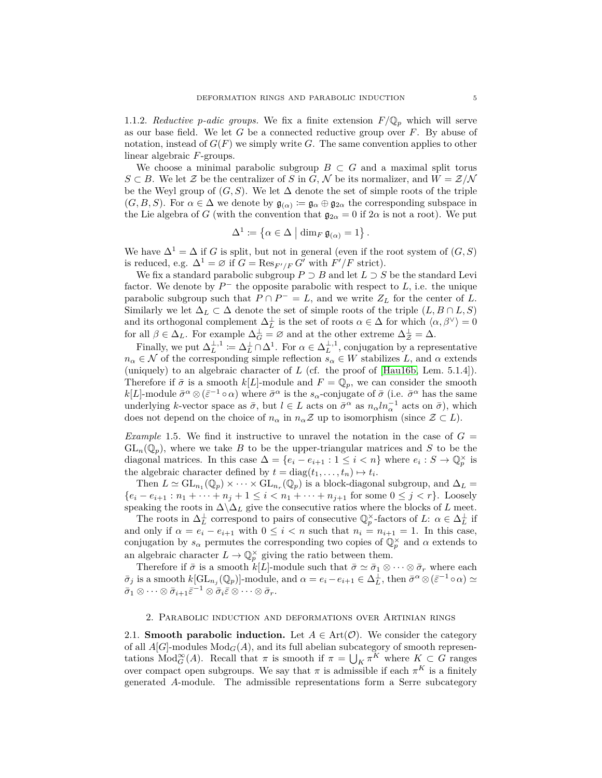<span id="page-4-2"></span>1.1.2. *Reductive p*-adic groups. We fix a finite extension  $F/\mathbb{Q}_p$  which will serve as our base field. We let *G* be a connected reductive group over *F*. By abuse of notation, instead of *G*(*F*) we simply write *G*. The same convention applies to other linear algebraic *F*-groups.

We choose a minimal parabolic subgroup  $B \subset G$  and a maximal split torus *S* ⊂ *B*. We let  $\mathcal{Z}$  be the centralizer of *S* in *G*,  $\mathcal{N}$  be its normalizer, and  $W = \mathcal{Z}/\mathcal{N}$ be the Weyl group of  $(G, S)$ . We let  $\Delta$  denote the set of simple roots of the triple  $(G, B, S)$ . For  $\alpha \in \Delta$  we denote by  $\mathfrak{g}_{(\alpha)} := \mathfrak{g}_{\alpha} \oplus \mathfrak{g}_{2\alpha}$  the corresponding subspace in the Lie algebra of *G* (with the convention that  $\mathfrak{g}_{2\alpha} = 0$  if  $2\alpha$  is not a root). We put

$$
\Delta^1 \coloneqq \left\{ \alpha \in \Delta \mid \dim_F \mathfrak{g}_{(\alpha)} = 1 \right\}.
$$

We have  $\Delta^1 = \Delta$  if *G* is split, but not in general (even if the root system of  $(G, S)$ ) is reduced, e.g.  $\Delta^1 = \varnothing$  if  $G = \text{Res}_{F'/F} G'$  with  $F'/F$  strict).

We fix a standard parabolic subgroup  $P \supset B$  and let  $L \supset S$  be the standard Levi factor. We denote by  $P^-$  the opposite parabolic with respect to  $L$ , i.e. the unique parabolic subgroup such that  $P \cap P^- = L$ , and we write  $Z_L$  for the center of  $L$ . Similarly we let  $\Delta_L \subset \Delta$  denote the set of simple roots of the triple  $(L, B \cap L, S)$ and its orthogonal complement  $\Delta_L^{\perp}$  is the set of roots  $\alpha \in \Delta$  for which  $\langle \alpha, \beta^{\vee} \rangle = 0$ for all  $\beta \in \Delta_L$ . For example  $\Delta_G^{\perp} = \emptyset$  and at the other extreme  $\Delta_Z^{\perp} = \Delta$ .

Finally, we put  $\Delta_L^{\perp,1} := \Delta_L^{\perp} \cap \Delta^1$ . For  $\alpha \in \Delta_L^{\perp,1}$ , conjugation by a representative  $n_{\alpha} \in \mathcal{N}$  of the corresponding simple reflection  $s_{\alpha} \in W$  stabilizes *L*, and  $\alpha$  extends (uniquely) to an algebraic character of *L* (cf. the proof of [\[Hau16b,](#page-26-14) Lem. 5.1.4]). Therefore if  $\bar{\sigma}$  is a smooth  $k[L]$ -module and  $F = \mathbb{Q}_p$ , we can consider the smooth *k*[*L*]-module  $\bar{\sigma}^{\alpha} \otimes (\bar{\varepsilon}^{-1} \circ \alpha)$  where  $\bar{\sigma}^{\alpha}$  is the *s*<sub>*α*</sub>-conjugate of  $\bar{\sigma}$  (i.e.  $\bar{\sigma}^{\alpha}$  has the same underlying *k*-vector space as  $\bar{\sigma}$ , but  $l \in L$  acts on  $\bar{\sigma}^{\alpha}$  as  $n_{\alpha} ln_{\alpha}^{-1}$  acts on  $\bar{\sigma}$ ), which does not depend on the choice of  $n_{\alpha}$  in  $n_{\alpha}Z$  up to isomorphism (since  $Z \subset L$ ).

*Example* 1.5. We find it instructive to unravel the notation in the case of  $G =$  $GL_n(\mathbb{Q}_p)$ , where we take *B* to be the upper-triangular matrices and *S* to be the diagonal matrices. In this case  $\Delta = \{e_i - e_{i+1} : 1 \leq i < n\}$  where  $e_i : S \to \mathbb{Q}_p^{\times}$  is the algebraic character defined by  $t = diag(t_1, \ldots, t_n) \mapsto t_i$ .

Then  $L \simeq GL_{n_1}(\mathbb{Q}_p) \times \cdots \times GL_{n_r}(\mathbb{Q}_p)$  is a block-diagonal subgroup, and  $\Delta_L =$ { $e_i - e_{i+1}$ : *n*<sub>1</sub> + · · · + *n<sub>j</sub>* + 1 ≤ *i* < *n*<sub>1</sub> + · · · + *n<sub>j+1</sub>* for some 0 ≤ *j* < *r*}. Loosely speaking the roots in  $\Delta \Delta_L$  give the consecutive ratios where the blocks of *L* meet.

The roots in  $\Delta_L^{\perp}$  correspond to pairs of consecutive  $\mathbb{Q}_p^{\times}$ -factors of *L*:  $\alpha \in \Delta_L^{\perp}$  if and only if  $\alpha = e_i - e_{i+1}$  with  $0 \leq i < n$  such that  $n_i = n_{i+1} = 1$ . In this case, conjugation by  $s_{\alpha}$  permutes the corresponding two copies of  $\mathbb{Q}_p^{\times}$  and  $\alpha$  extends to an algebraic character  $L \to \mathbb{Q}_p^{\times}$  giving the ratio between them.

Therefore if  $\bar{\sigma}$  is a smooth  $k[L]$ -module such that  $\bar{\sigma} \simeq \bar{\sigma}_1 \otimes \cdots \otimes \bar{\sigma}_r$  where each  $\bar{\sigma}_j$  is a smooth  $k[\mathrm{GL}_{n_j}(\mathbb{Q}_p)]$ -module, and  $\alpha = e_i - e_{i+1} \in \Delta_L^{\perp}$ , then  $\bar{\sigma}^{\alpha} \otimes (\bar{\varepsilon}^{-1} \circ \alpha) \simeq$  $\bar{\sigma}_1 \otimes \cdots \otimes \bar{\sigma}_{i+1} \bar{\varepsilon}^{-1} \otimes \bar{\sigma}_i \bar{\varepsilon} \otimes \cdots \otimes \bar{\sigma}_r.$ 

### 2. Parabolic induction and deformations over Artinian rings

<span id="page-4-1"></span><span id="page-4-0"></span>2.1. **Smooth parabolic induction.** Let  $A \in \text{Art}(\mathcal{O})$ . We consider the category of all  $A[G]$ -modules  $Mod_G(A)$ , and its full abelian subcategory of smooth representations  $Mod_G^{\infty}(A)$ . Recall that  $\pi$  is smooth if  $\pi = \bigcup_K \pi^K$  where  $K \subset G$  ranges over compact open subgroups. We say that  $\pi$  is admissible if each  $\pi^K$  is a finitely generated *A*-module. The admissible representations form a Serre subcategory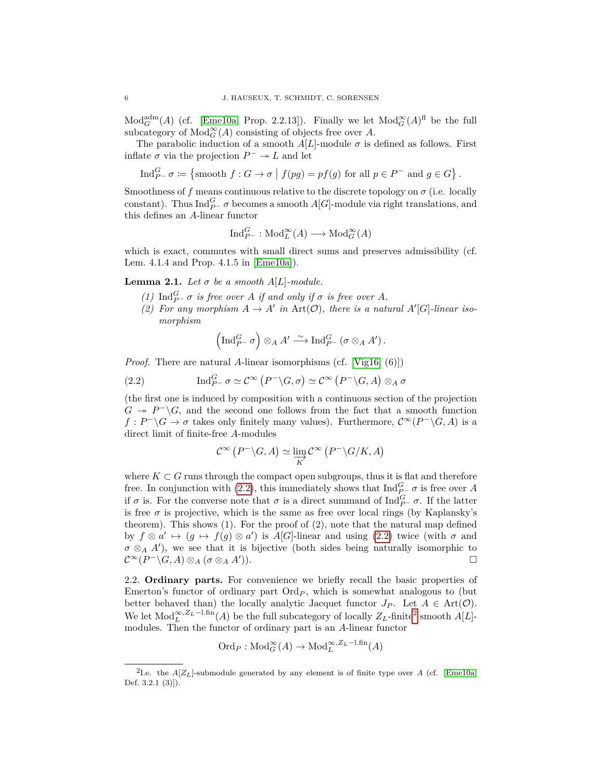$Mod_G<sup>adm</sup>(A)$  (cf. [\[Eme10a,](#page-26-11) Prop. 2.2.13]). Finally we let  $Mod_G<sup>\infty</sup>(A)<sup>f</sup>$  be the full subcategory of  $Mod_G^{\infty}(A)$  consisting of objects free over A.

The parabolic induction of a smooth  $A[L]$ -module  $\sigma$  is defined as follows. First inflate  $\sigma$  via the projection  $P^- \rightarrow L$  and let

Ind $_{P^{-}}^{G} \sigma := \left\{\text{smooth } f: G \to \sigma \mid f(pg) = pf(g) \text{ for all } p \in P^{-} \text{ and } g \in G\right\}.$ 

Smoothness of  $f$  means continuous relative to the discrete topology on  $\sigma$  (i.e. locally constant). Thus  $\text{Ind}_{P}^G$  *σ* becomes a smooth *A*[*G*]-module via right translations, and this defines an *A*-linear functor

$$
\text{Ind}_{P^-}^G : \text{Mod}^{\infty}_L(A) \longrightarrow \text{Mod}^{\infty}_G(A)
$$

which is exact, commutes with small direct sums and preserves admissibility (cf. Lem. 4.1.4 and Prop. 4.1.5 in [\[Eme10a\]](#page-26-11)).

<span id="page-5-3"></span>**Lemma 2.1.** *Let*  $\sigma$  *be a smooth*  $A[L]$ *-module.* 

- *(1)*  $\text{Ind}_{P^-}^G \sigma$  *is free over A if and only if*  $\sigma$  *is free over A.*
- (2) For any morphism  $A \to A'$  in  $Art(\mathcal{O})$ , there is a natural  $A'[G]$ -linear iso*morphism*

<span id="page-5-1"></span>
$$
\left(\operatorname{Ind}_{P^-}^G \sigma\right) \otimes_A A' \stackrel{\sim}{\longrightarrow} \operatorname{Ind}_{P^-}^G \left(\sigma \otimes_A A'\right).
$$

*Proof.* There are natural A-linear isomorphisms (cf. [\[Vig16,](#page-27-3) (6]])

(2.2) 
$$
\operatorname{Ind}_{P^-}^G \sigma \simeq \mathcal{C}^\infty \left( P^- \backslash G, \sigma \right) \simeq \mathcal{C}^\infty \left( P^- \backslash G, A \right) \otimes_A \sigma
$$

(the first one is induced by composition with a continuous section of the projection  $G \rightarrow P^- \backslash G$ , and the second one follows from the fact that a smooth function  $f: P^-\backslash G \to \sigma$  takes only finitely many values). Furthermore,  $\mathcal{C}^{\infty}(P^-\backslash G, A)$  is a direct limit of finite-free *A*-modules

$$
\mathcal{C}^{\infty}\left(P^{-}\backslash G, A\right) \simeq \varinjlim_{K} \mathcal{C}^{\infty}\left(P^{-}\backslash G/K, A\right)
$$

where  $K \subset G$  runs through the compact open subgroups, thus it is flat and therefore free. In conjunction with [\(2.2\)](#page-5-1), this immediately shows that  $\text{Ind}_{P^-}^G \sigma$  is free over *A* if  $\sigma$  is. For the converse note that  $\sigma$  is a direct summand of  $\text{Ind}_{P}^G$   $\sigma$ . If the latter is free  $\sigma$  is projective, which is the same as free over local rings (by Kaplansky's theorem). This shows (1). For the proof of (2), note that the natural map defined by  $f \otimes a' \mapsto (g \mapsto f(g) \otimes a')$  is *A*[*G*]-linear and using [\(2.2\)](#page-5-1) twice (with  $\sigma$  and  $\sigma \otimes_A A'$ ), we see that it is bijective (both sides being naturally isomorphic to  $\mathcal{C}^\infty (P^-\backslash G, A)\otimes_A (\sigma \otimes_A A)$  $\Box$ )).

<span id="page-5-0"></span>2.2. **Ordinary parts.** For convenience we briefly recall the basic properties of Emerton's functor of ordinary part  $\text{Ord}_P$ , which is somewhat analogous to (but better behaved than) the locally analytic Jacquet functor  $J_P$ . Let  $A \in Art(\mathcal{O})$ . We let  $Mod<sub>L</sub><sup>\infty</sup>, Z<sub>L</sub>$ -l.fin(*A*) be the full subcategory of locally  $Z<sub>L</sub>$ -finite<sup>[2](#page-5-2)</sup> smooth *A*[*L*]modules. Then the functor of ordinary part is an *A*-linear functor

$$
\mathrm{Ord}_P: \mathrm{Mod}_G^{\infty}(A) \to \mathrm{Mod}_L^{\infty, Z_L-1, \mathrm{fin}}(A)
$$

<span id="page-5-2"></span><sup>&</sup>lt;sup>2</sup>I.e. the  $A[Z_L]$ -submodule generated by any element is of finite type over *A* (cf. [\[Eme10a,](#page-26-11) Def. 3.2.1 (3)]).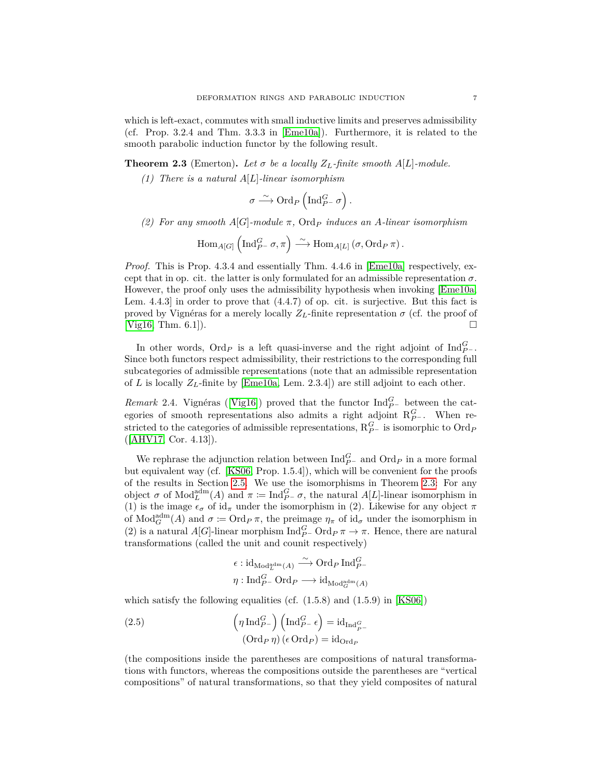which is left-exact, commutes with small inductive limits and preserves admissibility (cf. Prop. 3.2.4 and Thm. 3.3.3 in [\[Eme10a\]](#page-26-11)). Furthermore, it is related to the smooth parabolic induction functor by the following result.

<span id="page-6-0"></span>**Theorem 2.3** (Emerton). Let  $\sigma$  be a locally  $Z_L$ -finite smooth  $A[L]$ -module.

*(1) There is a natural A*[*L*]*-linear isomorphism*

$$
\sigma \xrightarrow{\sim} \mathrm{Ord}_P\left(\mathrm{Ind}_{P^-}^G \sigma\right).
$$

*(2) For any smooth A*[*G*]*-module π,* Ord*<sup>P</sup> induces an A-linear isomorphism*

$$
\mathrm{Hom}_{A[G]}\left(\mathrm{Ind}_{P^-}^G\sigma,\pi\right)\stackrel{\sim}{\longrightarrow}\mathrm{Hom}_{A[L]}\left(\sigma,\mathrm{Ord}_P\,\pi\right).
$$

*Proof.* This is Prop. 4.3.4 and essentially Thm. 4.4.6 in Eme10a respectively, except that in op. cit. the latter is only formulated for an admissible representation  $\sigma$ . However, the proof only uses the admissibility hypothesis when invoking [\[Eme10a,](#page-26-11) Lem. 4.4.3] in order to prove that (4.4.7) of op. cit. is surjective. But this fact is proved by Vignéras for a merely locally  $Z_L$ -finite representation  $\sigma$  (cf. the proof of [\[Vig16,](#page-27-3) Thm. 6.1]).

In other words,  $\text{Ord}_P$  is a left quasi-inverse and the right adjoint of  $\text{Ind}_{P^-}^G$ . Since both functors respect admissibility, their restrictions to the corresponding full subcategories of admissible representations (note that an admissible representation of *L* is locally  $Z_L$ -finite by [\[Eme10a,](#page-26-11) Lem. 2.3.4]) are still adjoint to each other.

<span id="page-6-2"></span>*Remark* 2.4. Vignéras ([\[Vig16\]](#page-27-3)) proved that the functor  $\text{Ind}_{P^-}^G$  between the categories of smooth representations also admits a right adjoint  $R_{P}^G$ . When restricted to the categories of admissible representations,  $R_{P-}^G$  is isomorphic to  $\text{Ord}_P$ ([\[AHV17,](#page-26-17) Cor. 4.13]).

We rephrase the adjunction relation between  $\text{Ind}_{P^-}^G$  and  $\text{Ord}_P$  in a more formal but equivalent way (cf. [\[KS06,](#page-26-18) Prop. 1.5.4]), which will be convenient for the proofs of the results in Section [2.5.](#page-8-0) We use the isomorphisms in Theorem [2.3:](#page-6-0) For any object  $\sigma$  of  $\text{Mod}_{L}^{\text{adm}}(A)$  and  $\pi \coloneqq \text{Ind}_{P}^{G} \sigma$ , the natural  $A[L]$ -linear isomorphism in (1) is the image  $\epsilon_{\sigma}$  of id<sub> $\pi$ </sub> under the isomorphism in (2). Likewise for any object  $\pi$ of  $\text{Mod}_G^{\text{adm}}(A)$  and  $\sigma := \text{Ord}_P \pi$ , the preimage  $\eta_{\pi}$  of  $\text{id}_{\sigma}$  under the isomorphism in (2) is a natural *A*[*G*]-linear morphism  $\text{Ind}_{P^-}^G \text{Ord}_{P} \pi \to \pi$ . Hence, there are natural transformations (called the unit and counit respectively)

$$
\begin{aligned} &\epsilon: \operatorname{id}_{\operatorname{Mod}^{\operatorname{adm}}_L(A)} \xrightarrow{\sim} \operatorname{Ord}_P\operatorname{Ind}^G_{P^-} \\ &\eta: \operatorname{Ind}^G_{P^-}\operatorname{Ord}_P \longrightarrow \operatorname{id}_{\operatorname{Mod}^{\operatorname{adm}}_G(A)} \end{aligned}
$$

which satisfy the following equalities (cf.  $(1.5.8)$  and  $(1.5.9)$  in  $[KS06]$ )

<span id="page-6-1"></span>(2.5) 
$$
\left(\eta \operatorname{Ind}_{P^-}^G\right) \left(\operatorname{Ind}_{P^-}^G \epsilon\right) = \operatorname{id}_{\operatorname{Ind}_{P^-}^G}
$$

$$
\left(\operatorname{Ord}_P \eta\right) \left(\epsilon \operatorname{Ord}_P\right) = \operatorname{id}_{\operatorname{Ord}_P}
$$

(the compositions inside the parentheses are compositions of natural transformations with functors, whereas the compositions outside the parentheses are "vertical compositions" of natural transformations, so that they yield composites of natural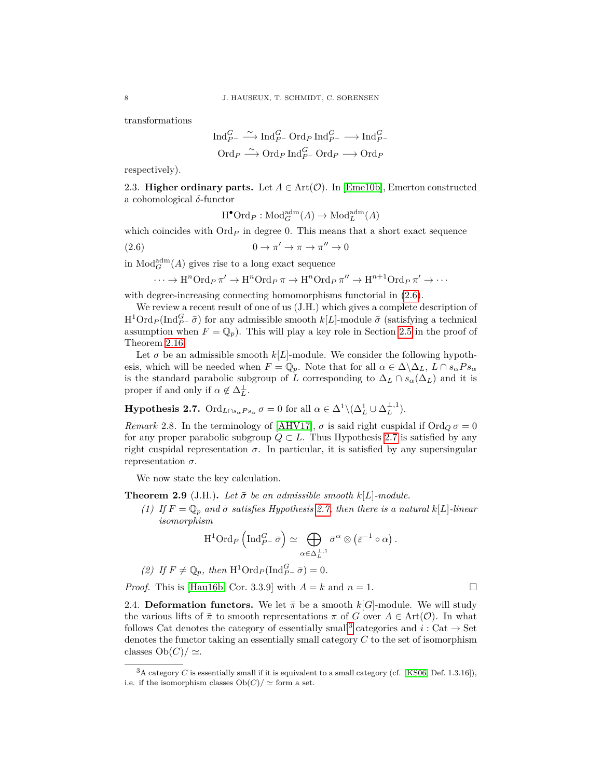transformations

$$
\operatorname{Ind}_{P^-}^G \xrightarrow{\sim} \operatorname{Ind}_{P^-}^G \operatorname{Ord}_P \operatorname{Ind}_{P^-}^G \longrightarrow \operatorname{Ind}_{P^-}^G
$$
  

$$
\operatorname{Ord}_P \xrightarrow{\sim} \operatorname{Ord}_P \operatorname{Ind}_{P^-}^G \operatorname{Ord}_P \longrightarrow \operatorname{Ord}_P
$$

respectively).

<span id="page-7-0"></span>2.3. **Higher ordinary parts.** Let  $A \in \text{Art}(\mathcal{O})$ . In [\[Eme10b\]](#page-26-19), Emerton constructed a cohomological *δ*-functor

<span id="page-7-3"></span>
$$
\mathrm{H}^\bullet\mathrm{Ord}_P:\mathrm{Mod}_G^{\mathrm{adm}}(A)\to\mathrm{Mod}_L^{\mathrm{adm}}(A)
$$

which coincides with  $\text{Ord}_P$  in degree 0. This means that a short exact sequence

(2.6)  $0 \to \pi' \to \pi \to \pi'' \to 0$ 

in  $\text{Mod}_{G}^{\text{adm}}(A)$  gives rise to a long exact sequence

$$
\cdots \to \mathrm{H}^n\mathrm{Ord}_P\,\pi' \to \mathrm{H}^n\mathrm{Ord}_P\,\pi \to \mathrm{H}^n\mathrm{Ord}_P\,\pi'' \to \mathrm{H}^{n+1}\mathrm{Ord}_P\,\pi' \to \cdots
$$

with degree-increasing connecting homomorphisms functorial in  $(2.6)$ .

We review a recent result of one of us (J.H.) which gives a complete description of  $H^1 \text{Ord}_P(\text{Ind}_{P^-}^G \bar{\sigma})$  for any admissible smooth  $k[L]$ -module  $\bar{\sigma}$  (satisfying a technical assumption when  $F = \mathbb{Q}_p$ . This will play a key role in Section [2.5](#page-8-0) in the proof of Theorem [2.16.](#page-9-0)

Let  $\sigma$  be an admissible smooth  $k[L]$ -module. We consider the following hypothesis, which will be needed when  $F = \mathbb{Q}_p$ . Note that for all  $\alpha \in \Delta \backslash \Delta_L$ ,  $L \cap s_{\alpha} Ps_{\alpha}$ is the standard parabolic subgroup of *L* corresponding to  $\Delta_L \cap s_\alpha(\Delta_L)$  and it is proper if and only if  $\alpha \notin \Delta_L^{\perp}$ .

<span id="page-7-2"></span>**Hypothesis 2.7.**  $\text{Ord}_{L \cap s_{\alpha} P s_{\alpha}} \sigma = 0$  for all  $\alpha \in \Delta^1 \setminus (\Delta_L^1 \cup \Delta_L^{\perp,1}).$ 

*Remark* 2.8. In the terminology of [\[AHV17\]](#page-26-17),  $\sigma$  is said right cuspidal if Ord<sub>Q</sub>  $\sigma = 0$ for any proper parabolic subgroup  $Q \subset L$ . Thus Hypothesis [2.7](#page-7-2) is satisfied by any right cuspidal representation  $\sigma$ . In particular, it is satisfied by any supersingular representation *σ*.

We now state the key calculation.

<span id="page-7-5"></span>**Theorem 2.9** (J.H.). Let  $\bar{\sigma}$  be an admissible smooth  $k[L]$ -module.

*(1) If*  $F = \mathbb{Q}_p$  *and*  $\bar{\sigma}$  *satisfies Hypothesis* [2.7,](#page-7-2) *then there is a natural*  $k[L]$ *-linear isomorphism*

$$
\mathrm{H}^1\mathrm{Ord}_P\left(\mathrm{Ind}_{P^-}^G\bar{\sigma}\right)\simeq \bigoplus_{\alpha\in \Delta_L^{\perp,1}}\bar{\sigma}^\alpha\otimes\left(\bar{\varepsilon}^{-1}\circ\alpha\right).
$$

(2) If 
$$
F \neq \mathbb{Q}_p
$$
, then  $H^1$ Ord<sub>P</sub>(Ind<sub>P</sub><sup>G</sup> -  $\bar{\sigma}$ ) = 0.

*Proof.* This is [\[Hau16b,](#page-26-14) Cor. 3.3.9] with  $A = k$  and  $n = 1$ .

<span id="page-7-1"></span>2.4. **Deformation functors.** We let  $\bar{\pi}$  be a smooth  $k[G]$ -module. We will study the various lifts of  $\bar{\pi}$  to smooth representations  $\pi$  of *G* over  $A \in Art(\mathcal{O})$ . In what follows Cat denotes the category of essentially small<sup>[3](#page-7-4)</sup> categories and  $i:$  Cat  $\rightarrow$  Set denotes the functor taking an essentially small category *C* to the set of isomorphism classes  $Ob(C)/ \simeq$ .

<span id="page-7-4"></span><sup>&</sup>lt;sup>3</sup>A category *C* is essentially small if it is equivalent to a small category (cf. [\[KS06,](#page-26-18) Def. 1.3.16]), i.e. if the isomorphism classes  $Ob(C)/\simeq$  form a set.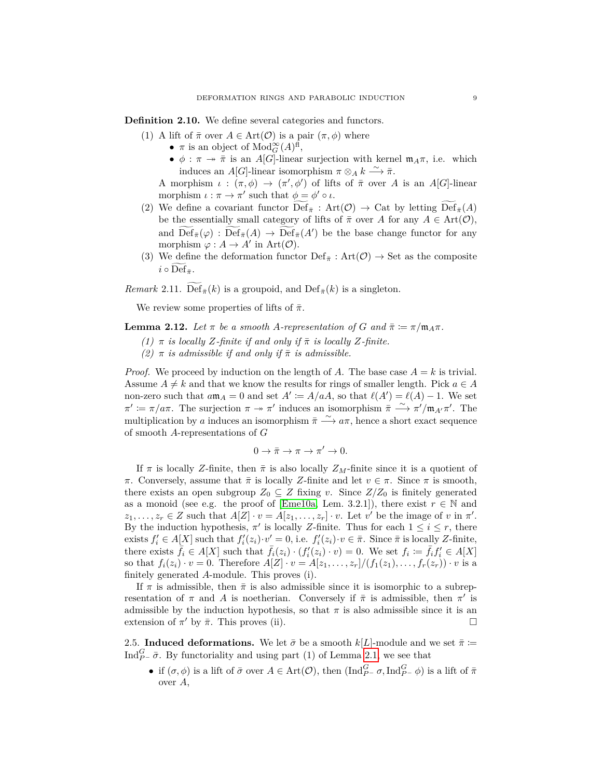<span id="page-8-2"></span>**Definition 2.10.** We define several categories and functors.

- (1) A lift of  $\bar{\pi}$  over  $A \in \text{Art}(\mathcal{O})$  is a pair  $(\pi, \phi)$  where
	- $\pi$  is an object of  $\text{Mod}_{G}^{\infty}(A)^{\text{fl}}$ ,
	- $\phi : \pi \to \bar{\pi}$  is an *A*[*G*]-linear surjection with kernel  $\mathfrak{m}_A \pi$ , i.e. which induces an *A*[*G*]-linear isomorphism  $\pi \otimes_A k \stackrel{\sim}{\longrightarrow} \bar{\pi}$ .

A morphism  $\iota : (\pi, \phi) \to (\pi', \phi')$  of lifts of  $\bar{\pi}$  over A is an A[*G*]-linear morphism  $\iota : \pi \to \pi'$  such that  $\phi = \phi' \circ \iota$ .

- (2) We define a covariant functor  $\text{Def}_{\bar{\pi}}$ : Art $(\mathcal{O}) \to \text{Cat}$  by letting  $\text{Def}_{\bar{\pi}}(A)$ be the essentially small category of lifts of  $\bar{\pi}$  over *A* for any  $A \in Art(\mathcal{O})$ , and  $\overline{\text{Def}}_{\bar{\pi}}(\varphi) : \overline{\text{Def}}_{\bar{\pi}}(A) \to \overline{\text{Def}}_{\bar{\pi}}(A')$  be the base change functor for any morphism  $\varphi : A \to A'$  in Art( $\mathcal{O}$ ).
- (3) We define the deformation functor  $\text{Def}_{\bar{\pi}}: \text{Art}(\mathcal{O}) \to \text{Set}$  as the composite  $i \circ \widetilde{\text{Def}}_{\bar{\pi}}$ .

*Remark* 2.11. Def<sub> $\bar{\pi}$ </sub> $(k)$  is a groupoid, and Def<sub> $\bar{\pi}$ </sub> $(k)$  is a singleton.

We review some properties of lifts of  $\bar{\pi}$ .

<span id="page-8-1"></span>**Lemma 2.12.** Let  $\pi$  be a smooth A-representation of G and  $\bar{\pi} := \pi/\mathfrak{m}_A\pi$ .

- $(1)$  *π is locally Z-finite if and only if*  $\bar{\pi}$  *is locally Z-finite.*
- $(2)$  *π is admissible if and only if*  $\bar{\pi}$  *is admissible.*

*Proof.* We proceed by induction on the length of *A*. The base case  $A = k$  is trivial. Assume  $A \neq k$  and that we know the results for rings of smaller length. Pick  $a \in A$ non-zero such that  $a\mathfrak{m}_A = 0$  and set  $A' := A/aA$ , so that  $\ell(A') = \ell(A) - 1$ . We set  $\pi' := \pi/a\pi$ . The surjection  $\pi \to \pi'$  induces an isomorphism  $\bar{\pi} \stackrel{\sim}{\longrightarrow} \pi'/\mathfrak{m}_{A'}\pi'$ . The multiplication by *a* induces an isomorphism  $\bar{\pi} \stackrel{\sim}{\longrightarrow} a\pi$ , hence a short exact sequence of smooth *A*-representations of *G*

$$
0 \to \bar{\pi} \to \pi \to \pi' \to 0.
$$

If  $\pi$  is locally *Z*-finite, then  $\bar{\pi}$  is also locally *Z<sub>M</sub>*-finite since it is a quotient of *π*. Conversely, assume that  $\bar{\pi}$  is locally *Z*-finite and let  $v \in \pi$ . Since  $\pi$  is smooth, there exists an open subgroup  $Z_0 \subseteq Z$  fixing *v*. Since  $Z/Z_0$  is finitely generated as a monoid (see e.g. the proof of [\[Eme10a,](#page-26-11) Lem. 3.2.1]), there exist  $r \in \mathbb{N}$  and  $z_1, \ldots, z_r \in Z$  such that  $A[Z] \cdot v = A[z_1, \ldots, z_r] \cdot v$ . Let *v*' be the image of *v* in  $\pi'$ . By the induction hypothesis,  $\pi'$  is locally *Z*-finite. Thus for each  $1 \leq i \leq r$ , there exists  $f'_i \in A[X]$  such that  $f'_i(z_i) \cdot v'_i = 0$ , i.e.  $f'_i(z_i) \cdot v \in \bar{\pi}$ . Since  $\bar{\pi}$  is locally *Z*-finite, there exists  $\overline{f}_i \in A[X]$  such that  $\overline{f}_i(z_i) \cdot (f'_i(z_i) \cdot v) = 0$ . We set  $f_i := \overline{f}_i f'_i \in A[X]$ so that  $f_i(z_i) \cdot v = 0$ . Therefore  $A[Z] \cdot v = A[z_1, \ldots, z_r]/(f_1(z_1), \ldots, f_r(z_r)) \cdot v$  is a finitely generated *A*-module. This proves (i).

If  $\pi$  is admissible, then  $\bar{\pi}$  is also admissible since it is isomorphic to a subrepresentation of  $\pi$  and A is noetherian. Conversely if  $\bar{\pi}$  is admissible, then  $\pi'$  is admissible by the induction hypothesis, so that  $\pi$  is also admissible since it is an extension of  $\pi'$  by  $\bar{\pi}$ . This proves (ii).

<span id="page-8-0"></span>2.5. **Induced deformations.** We let  $\bar{\sigma}$  be a smooth  $k[L]$ -module and we set  $\bar{\pi}$  := Ind $_{P^{-}}^{G}$   $\bar{\sigma}$ . By functoriality and using part (1) of Lemma [2.1,](#page-5-3) we see that

• if  $(\sigma, \phi)$  is a lift of  $\bar{\sigma}$  over  $A \in \text{Art}(\mathcal{O})$ , then  $(\text{Ind}_{P^-}^G \sigma, \text{Ind}_{P^-}^G \phi)$  is a lift of  $\bar{\pi}$ over *A*,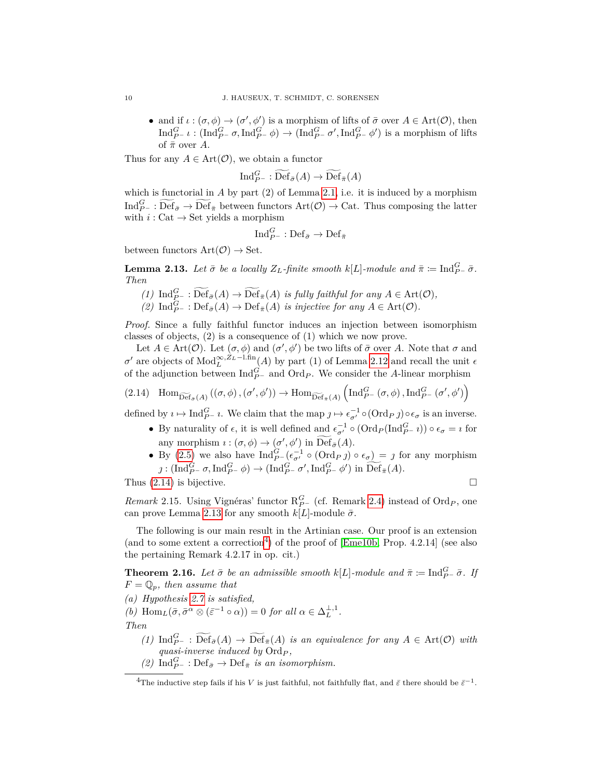• and if  $\iota : (\sigma, \phi) \to (\sigma', \phi')$  is a morphism of lifts of  $\bar{\sigma}$  over  $A \in \text{Art}(\mathcal{O})$ , then  $\text{Ind}_{P^-}^G \iota : (\text{Ind}_{P^-}^G \sigma, \text{Ind}_{P^-}^G \phi) \to (\text{Ind}_{P^-}^G \sigma', \text{Ind}_{P^-}^G \phi')$  is a morphism of lifts of  $\bar{\pi}$  over *A*.

Thus for any  $A \in \text{Art}(\mathcal{O})$ , we obtain a functor

$$
\text{Ind}_{P^-}^G : \widetilde{\text{Def}}_{\bar{\sigma}}(A) \to \widetilde{\text{Def}}_{\bar{\pi}}(A)
$$

which is functorial in *A* by part (2) of Lemma [2.1,](#page-5-3) i.e. it is induced by a morphism  ${\rm Ind}_{P^-}^G : \widetilde{\rm Def}_{\bar{\sigma}} \to \widetilde{\rm Def}_{\bar{\pi}}$  between functors  ${\rm Art}(\mathcal{O}) \to {\rm Cat}$ . Thus composing the latter with  $i:$  Cat  $\rightarrow$  Set yields a morphism

$$
\text{Ind}_{P^-}^G: \text{Def}_{\bar{\sigma}} \to \text{Def}_{\bar{\pi}}
$$

between functors  $Art(\mathcal{O}) \rightarrow Set.$ 

<span id="page-9-2"></span>**Lemma 2.13.** *Let*  $\bar{\sigma}$  *be a locally*  $Z_L$ *-finite smooth*  $k[L]$ *-module and*  $\bar{\pi} \coloneqq \text{Ind}_{P^-}^G \bar{\sigma}$ *. Then*

- $(1)$  Ind $_{P}^{G}$  = :  $\widetilde{\text{Def}}_{\bar{\sigma}}(A) \rightarrow \widetilde{\text{Def}}_{\bar{\pi}}(A)$  *is fully faithful for any*  $A \in \text{Art}(\mathcal{O})$ *,*
- $(2)$  Ind<sub>P</sub><sup>*G*</sup>  $\cdot$  : Def<sub> $\bar{\sigma}(A)$ </sub>  $\rightarrow$  Def<sub> $\bar{\pi}(A)$ </sub> *is injective for any*  $A \in$  Art $(\mathcal{O})$ *.*

*Proof.* Since a fully faithful functor induces an injection between isomorphism classes of objects, (2) is a consequence of (1) which we now prove.

Let  $A \in \text{Art}(\mathcal{O})$ . Let  $(\sigma, \phi)$  and  $(\sigma', \phi')$  be two lifts of  $\bar{\sigma}$  over A. Note that  $\sigma$  and *σ*<sup>*α*</sup> are objects of  $Mod<sup>∞, Z<sub>L</sub> -1</sup>$ *.fin*</sub> *L (A)* by part (1) of Lemma [2.12](#page-8-1) and recall the unit  $\epsilon$ of the adjunction between  $\text{Ind}_{P^-}^G$  and  $\text{Ord}_P$ . We consider the *A*-linear morphism

<span id="page-9-1"></span>
$$
(2.14)\quad \mathrm{Hom}_{\widetilde{\mathrm{Def}}_{\bar{\sigma}}(A)}\left((\sigma,\phi),(\sigma',\phi')\right)\to \mathrm{Hom}_{\widetilde{\mathrm{Def}}_{\bar{\pi}}(A)}\left(\mathrm{Ind}_{P^-}^G\left(\sigma,\phi\right),\mathrm{Ind}_{P^-}^G\left(\sigma',\phi'\right)\right)
$$

defined by  $i \mapsto \text{Ind}_{P^-}^G i$ . We claim that the map  $j \mapsto \epsilon_{\sigma'}^{-1} \circ (\text{Ord}_P j) \circ \epsilon_{\sigma}$  is an inverse.

- By naturality of  $\epsilon$ , it is well defined and  $\epsilon_{\sigma'}^{-1} \circ (\text{Ord}_P(\text{Ind}_{P^-}^G i)) \circ \epsilon_{\sigma} = i$  for any morphism  $\iota : (\sigma, \phi) \to (\sigma', \phi')$  in  $\widetilde{\operatorname{Def}}_{\bar{\sigma}}(A)$ .
- By [\(2.5\)](#page-6-1) we also have  $\text{Ind}_{P^-}^G(\epsilon_{\sigma'}^{-1} \circ (\text{Ord}_P) \circ \epsilon_{\sigma}) = j$  for any morphism  $j: (\text{Ind}_{P^-}^G \sigma, \text{Ind}_{P^-}^G \phi) \to (\text{Ind}_{P^-}^G \sigma', \text{Ind}_{P^-}^G \phi') \text{ in } \widetilde{\text{Def}}_{\bar{\pi}}(A).$

Thus  $(2.14)$  is bijective.

<span id="page-9-4"></span>*Remark* 2.15. Using Vignéras' functor  $R_{P-}^G$  (cf. Remark [2.4\)](#page-6-2) instead of  $\text{Ord}_P$ , one can prove Lemma [2.13](#page-9-2) for any smooth  $k[L]$ -module  $\bar{\sigma}$ .

The following is our main result in the Artinian case. Our proof is an extension (and to some extent a correction<sup>[4](#page-9-3)</sup>) of the proof of  $[Eme10b, Prop. 4.2.14]$  $[Eme10b, Prop. 4.2.14]$  (see also the pertaining Remark 4.2.17 in op. cit.)

<span id="page-9-0"></span>**Theorem 2.16.** *Let*  $\bar{\sigma}$  *be an admissible smooth*  $k[L]$ *-module and*  $\bar{\pi} \coloneqq \text{Ind}_{P}^G - \bar{\sigma}$ *. If*  $F = \mathbb{Q}_p$ *, then assume that* 

*(a) Hypothesis [2.7](#page-7-2) is satisfied,*

*(b)*  $\text{Hom}_{L}(\bar{\sigma}, \bar{\sigma}^{\alpha} \otimes (\bar{\varepsilon}^{-1} \circ \alpha)) = 0$  *for all*  $\alpha \in \Delta_{L}^{\perp,1}$ .

*Then*

- $(1)$  Ind<sub>P</sub> = :  $\widetilde{\text{Def}}_{\bar{\sigma}}(A) \to \widetilde{\text{Def}}_{\bar{\pi}}(A)$  *is an equivalence for any*  $A \in \text{Art}(\mathcal{O})$  *with quasi-inverse induced by* Ord*<sup>P</sup> ,*
- *(2)* Ind $_{P}^G$  ⋅ Def<sub> $\bar{\sigma}$ </sub> → Def<sub> $\bar{\pi}$ </sub> *is an isomorphism.*

<span id="page-9-3"></span><sup>&</sup>lt;sup>4</sup>The inductive step fails if his *V* is just faithful, not faithfully flat, and  $\bar{\varepsilon}$  there should be  $\bar{\varepsilon}^{-1}$ .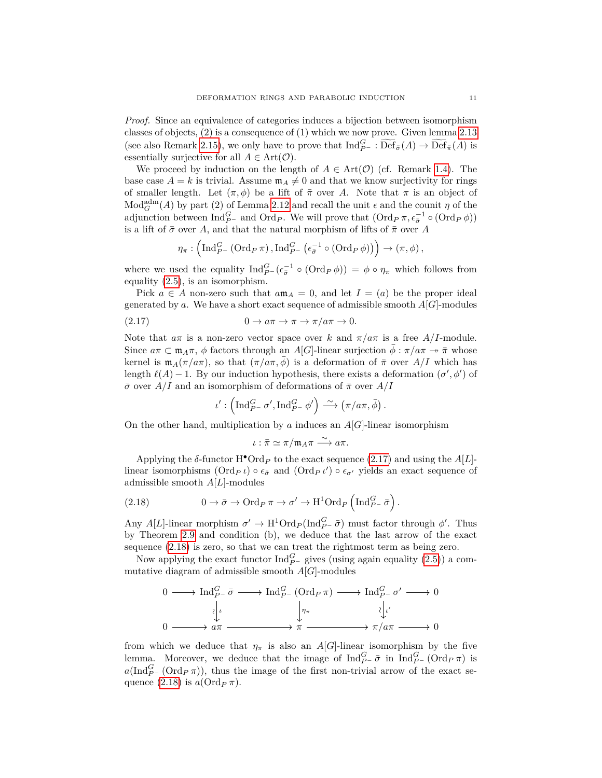*Proof.* Since an equivalence of categories induces a bijection between isomorphism classes of objects, (2) is a consequence of (1) which we now prove. Given lemma [2.13](#page-9-2) (see also Remark [2.15\)](#page-9-4), we only have to prove that  $\text{Ind}_{P^-}^G : \widetilde{\text{Def}}_{\bar{\sigma}}(A) \to \widetilde{\text{Def}}_{\bar{\pi}}(A)$  is essentially surjective for all  $A \in \text{Art}(\mathcal{O})$ .

We proceed by induction on the length of  $A \in Art(\mathcal{O})$  (cf. Remark [1.4\)](#page-3-2). The base case  $A = k$  is trivial. Assume  $\mathfrak{m}_A \neq 0$  and that we know surjectivity for rings of smaller length. Let  $(\pi, \phi)$  be a lift of  $\bar{\pi}$  over *A*. Note that  $\pi$  is an object of  $\text{Mod}_{G}^{\text{adm}}(A)$  by part (2) of Lemma [2.12](#page-8-1) and recall the unit  $\epsilon$  and the counit  $\eta$  of the adjunction between  $\text{Ind}_{P^-}^G$  and  $\text{Ord}_P$ . We will prove that  $(\text{Ord}_P \pi, \epsilon_{\bar{\sigma}}^{-1} \circ (\text{Ord}_P \phi))$ is a lift of  $\bar{\sigma}$  over *A*, and that the natural morphism of lifts of  $\bar{\pi}$  over *A* 

$$
\eta_{\pi}: \left(\mathrm{Ind}_{P^-}^G(\mathrm{Ord}_P\pi), \mathrm{Ind}_{P^-}^G\left(\epsilon_{\bar{\sigma}}^{-1}\circ(\mathrm{Ord}_P\phi)\right)\right) \to (\pi,\phi),
$$

where we used the equality  $\text{Ind}_{P}^G(\epsilon_{\bar{\sigma}}^{-1} \circ (\text{Ord}_P \phi)) = \phi \circ \eta_{\pi}$  which follows from equality [\(2.5\)](#page-6-1), is an isomorphism.

Pick  $a \in A$  non-zero such that  $a\mathfrak{m}_A = 0$ , and let  $I = (a)$  be the proper ideal generated by  $a$ . We have a short exact sequence of admissible smooth  $A[G]$ -modules

$$
(2.17) \t\t 0 \to a\pi \to \pi \to \pi/a\pi \to 0.
$$

Note that  $a\pi$  is a non-zero vector space over k and  $\pi/a\pi$  is a free  $A/I$ -module. Since  $a\pi \subset \mathfrak{m}_A\pi$ ,  $\phi$  factors through an *A*[*G*]-linear surjection  $\overline{\phi} : \pi/a\pi \to \overline{\pi}$  whose kernel is  $m_A(\pi/a\pi)$ , so that  $(\pi/a\pi, \bar{\phi})$  is a deformation of  $\bar{\pi}$  over  $A/I$  which has length  $\ell(A) - 1$ . By our induction hypothesis, there exists a deformation  $(\sigma', \phi')$  of *σ*¯ over *A/I* and an isomorphism of deformations of *π*¯ over *A/I*

<span id="page-10-0"></span>
$$
\iota':\left(\operatorname{Ind}_{P^-}^G \sigma', \operatorname{Ind}_{P^-}^G \phi'\right) \stackrel{\sim}{\longrightarrow} \left(\pi/a\pi, \bar{\phi}\right).
$$

On the other hand, multiplication by *a* induces an  $A[G]$ -linear isomorphism

$$
\iota: \bar{\pi} \simeq \pi/\mathfrak{m}_A \pi \xrightarrow{\sim} a\pi.
$$

Applying the  $\delta$ -functor  $H^{\bullet} \text{Ord}_P$  to the exact sequence [\(2.17\)](#page-10-0) and using the  $A[L]$ linear isomorphisms  $(\text{Ord}_{P} \iota) \circ \epsilon_{\bar{\sigma}}$  and  $(\text{Ord}_{P} \iota') \circ \epsilon_{\sigma'}$  yields an exact sequence of admissible smooth *A*[*L*]-modules

<span id="page-10-1"></span>(2.18) 
$$
0 \to \bar{\sigma} \to \text{Ord}_P \pi \to \sigma' \to \text{H}^1 \text{Ord}_P \left( \text{Ind}_{P^-}^G \bar{\sigma} \right).
$$

Any *A*[*L*]-linear morphism  $\sigma' \to H^1 \text{Ord}_P(\text{Ind}_{P^-}^G \bar{\sigma})$  must factor through  $\phi'$ . Thus by Theorem [2.9](#page-7-5) and condition (b), we deduce that the last arrow of the exact sequence [\(2.18\)](#page-10-1) is zero, so that we can treat the rightmost term as being zero.

Now applying the exact functor  $\text{Ind}_{P^-}^G$  gives (using again equality [\(2.5\)](#page-6-1)) a commutative diagram of admissible smooth *A*[*G*]-modules

$$
0 \longrightarrow \text{Ind}_{P^-}^G \bar{\sigma} \longrightarrow \text{Ind}_{P^-}^G (\text{Ord}_P \pi) \longrightarrow \text{Ind}_{P^-}^G \sigma' \longrightarrow 0
$$
  

$$
\downarrow \qquad \qquad \downarrow \qquad \qquad \downarrow \qquad \qquad \downarrow \qquad \downarrow \qquad \downarrow \qquad \downarrow \qquad \downarrow \qquad \downarrow \qquad \downarrow \qquad \downarrow \qquad \downarrow \qquad \downarrow \qquad \downarrow \qquad \downarrow \qquad \downarrow \qquad \downarrow \qquad \downarrow \qquad \downarrow \qquad \downarrow \qquad \downarrow \qquad \downarrow \qquad \downarrow \qquad \downarrow \qquad \downarrow \qquad \downarrow \qquad \downarrow \qquad \downarrow \qquad \downarrow \qquad \downarrow \qquad \downarrow \qquad \downarrow \qquad \downarrow \qquad \downarrow \qquad \downarrow \qquad \downarrow \qquad \downarrow \qquad \downarrow \qquad \downarrow \qquad \downarrow \qquad \downarrow \qquad \downarrow \qquad \downarrow \qquad \downarrow \qquad \downarrow \qquad \downarrow \qquad \downarrow \qquad \downarrow \qquad \downarrow \qquad \downarrow \qquad \downarrow \qquad \downarrow \qquad \downarrow \qquad \downarrow \qquad \downarrow \qquad \downarrow \qquad \downarrow \qquad \downarrow \qquad \downarrow \qquad \downarrow \qquad \downarrow \qquad \downarrow \qquad \downarrow \qquad \downarrow \qquad \downarrow \qquad \downarrow \qquad \downarrow \qquad \downarrow \qquad \downarrow \qquad \downarrow \qquad \downarrow \qquad \downarrow \qquad \downarrow \qquad \downarrow \qquad \downarrow \qquad \downarrow \qquad \downarrow \qquad \downarrow \qquad \downarrow \qquad \downarrow \qquad \downarrow \qquad \downarrow \qquad \downarrow \qquad \downarrow \qquad \downarrow \qquad \downarrow \qquad \downarrow \qquad \downarrow \qquad \downarrow \qquad \downarrow \qquad \downarrow \qquad \downarrow \qquad \downarrow \qquad \downarrow \qquad \downarrow \qquad \downarrow \qquad \downarrow \qquad \downarrow \qquad \downarrow \qquad \downarrow \qquad \downarrow \qquad \downarrow \qquad \downarrow \qquad \downarrow \qquad \downarrow \qquad \downarrow \qquad \downarrow \qquad \downarrow \qquad \downarrow \qquad \downarrow \qquad \downarrow \qquad \downarrow \qquad \downarrow \qquad \downarrow \q
$$

from which we deduce that  $\eta_{\pi}$  is also an *A*[*G*]-linear isomorphism by the five lemma. Moreover, we deduce that the image of  $\text{Ind}_{P^-}^G \bar{\sigma}$  in  $\text{Ind}_{P^-}^G (\text{Ord}_P \pi)$  is  $a(\text{Ind}_{P^-}^G(\text{Ord}_{P} \pi))$ , thus the image of the first non-trivial arrow of the exact sequence  $(2.18)$  is  $a(\text{Ord}_P \pi)$ .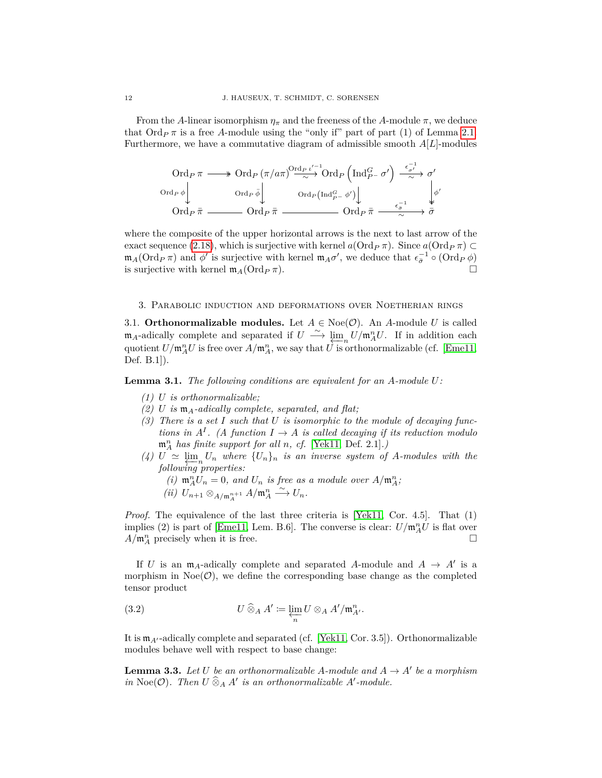From the *A*-linear isomorphism  $\eta_{\pi}$  and the freeness of the *A*-module  $\pi$ , we deduce that  $\text{Ord}_{P}$  *π* is a free *A*-module using the "only if" part of part (1) of Lemma [2.1.](#page-5-3) Furthermore, we have a commutative diagram of admissible smooth *A*[*L*]-modules

$$
\operatorname{Ord}_P\pi \longrightarrow \operatorname{Ord}_P\left(\pi/a\pi\right)^{\operatorname{Ord}_P\iota'^{-1}}\operatorname{Ord}_P\left(\operatorname{Ind}_{P^-}^G\sigma'\right) \xrightarrow{\epsilon_{\sigma'}^{-1}} \sigma'
$$
\n
$$
\operatorname{Ord}_P\phi \downarrow \qquad \operatorname{Ord}_P\bar{\phi} \downarrow \qquad \operatorname{Ord}_P(\operatorname{Ind}_{P^-}^G\phi') \downarrow \qquad \qquad \downarrow \phi'
$$
\n
$$
\operatorname{Ord}_P\bar{\pi} \longrightarrow \operatorname{Ord}_P\bar{\pi} \longrightarrow \operatorname{Ord}_P\bar{\pi} \longrightarrow \sigma'
$$

where the composite of the upper horizontal arrows is the next to last arrow of the exact sequence [\(2.18\)](#page-10-1), which is surjective with kernel  $a(\text{Ord}_{P} \pi)$ . Since  $a(\text{Ord}_{P} \pi) \subset$  $m_A(\text{Ord}_P \pi)$  and  $\phi'$  is surjective with kernel  $m_A \sigma'$ , we deduce that  $\epsilon_{\bar{\sigma}}^{-1} \circ (\text{Ord}_P \phi)$ is surjective with kernel  $\mathfrak{m}_A(\text{Ord}_P \pi)$ .

#### <span id="page-11-0"></span>3. Parabolic induction and deformations over Noetherian rings

<span id="page-11-1"></span>3.1. **Orthonormalizable modules.** Let  $A \in \text{Noe}(\mathcal{O})$ . An *A*-module *U* is called  $m_A$ -adically complete and separated if  $U \stackrel{\sim}{\longrightarrow} \lim_{\Delta \to 0} U/m_A^n U$ . If in addition each quotient  $U/\mathfrak{m}_A^n U$  is free over  $A/\mathfrak{m}_A^n$ , we say that  $U$  is orthonormalizable (cf. [\[Eme11,](#page-26-20) Def. B.1]).

<span id="page-11-3"></span>**Lemma 3.1.** *The following conditions are equivalent for an A-module U:*

- *(1) U is orthonormalizable;*
- *(2) U is* m*A-adically complete, separated, and flat;*
- *(3) There is a set I such that U is isomorphic to the module of decaying functions in*  $A^I$ . (A function  $I \to A$  *is called decaying if its reduction modulo* m*<sup>n</sup> <sup>A</sup> has finite support for all n, cf.* [\[Yek11,](#page-27-4) Def. 2.1]*.)*
- $(4)$  *U*  $\simeq \lim_{n \to \infty} U_n$  where  $\{U_n\}_n$  is an inverse system of *A*-modules with the *following properties:*

(i) 
$$
\mathfrak{m}_A^n U_n = 0
$$
, and  $U_n$  is free as a module over  $A/\mathfrak{m}_A^n$ ;  
(ii)  $U_{n+1} \otimes_{A/\mathfrak{m}_A^{n+1}} A/\mathfrak{m}_A^n \xrightarrow{\sim} U_n$ .

*Proof.* The equivalence of the last three criteria is [\[Yek11,](#page-27-4) Cor. 4.5]. That (1) implies (2) is part of [\[Eme11,](#page-26-20) Lem. B.6]. The converse is clear:  $U/\mathfrak{m}_A^n U$  is flat over  $A/\mathfrak{m}_A^n$  precisely when it is free.

If *U* is an  $m_A$ -adically complete and separated *A*-module and  $A \rightarrow A'$  is a morphism in  $Noe(\mathcal{O})$ , we define the corresponding base change as the completed tensor product

<span id="page-11-2"></span>(3.2) 
$$
U \widehat{\otimes}_A A' \coloneqq \varprojlim_n U \otimes_A A'/\mathfrak{m}_{A'}^n.
$$

It is  $m_{A'}$ -adically complete and separated (cf. [\[Yek11,](#page-27-4) Cor. 3.5]). Orthonormalizable modules behave well with respect to base change:

**Lemma 3.3.** Let U be an orthonormalizable A-module and  $A \rightarrow A'$  be a morphism *in* Noe( $\mathcal{O}$ ). Then  $U \widehat{\otimes}_A A'$  *is an orthonormalizable*  $A'$ -module.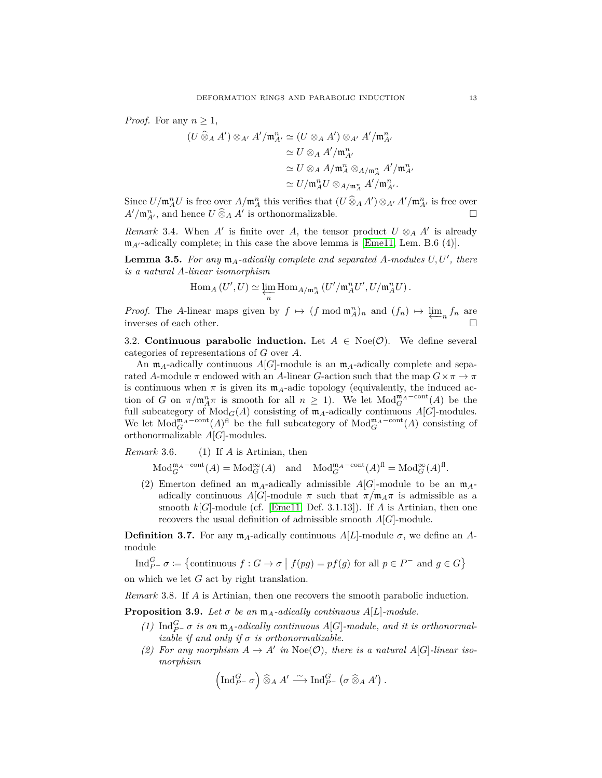*Proof.* For any  $n \geq 1$ ,

$$
(U \widehat{\otimes}_A A') \otimes_{A'} A'/\mathfrak{m}_{A'}^n \simeq (U \otimes_A A') \otimes_{A'} A'/\mathfrak{m}_{A'}^n
$$

$$
\simeq U \otimes_A A'/\mathfrak{m}_{A'}^n
$$

$$
\simeq U \otimes_A A/\mathfrak{m}_{A}^n \otimes_{A/\mathfrak{m}_{A}^n} A'/\mathfrak{m}_{A'}^n
$$

$$
\simeq U/\mathfrak{m}_{A}^n U \otimes_{A/\mathfrak{m}_{A}^n} A'/\mathfrak{m}_{A'}^n.
$$

Since  $U/\mathfrak{m}_A^n U$  is free over  $A/\mathfrak{m}_A^n$  this verifies that  $(U \widehat{\otimes}_A A') \otimes_{A'} A'/\mathfrak{m}_{A'}^n$  is free over  $A'/\mathfrak{m}_{A'}^n$ , and hence  $U \widehat{\otimes}_A A'$  is orthonormalizable.

*Remark* 3.4. When *A*<sup> $\prime$ </sup> is finite over *A*, the tensor product  $U \otimes_A A'$  is already  $m_{A'}$ -adically complete; in this case the above lemma is [\[Eme11,](#page-26-20) Lem. B.6 (4)].

<span id="page-12-1"></span>**Lemma 3.5.** For any  $m_A$ -adically complete and separated A-modules  $U, U'$ , there *is a natural A-linear isomorphism*

$$
\operatorname{Hom}_A\left(U',U\right)\simeq \varprojlim_n \operatorname{Hom}_{A/\mathfrak{m}_A^n}\left(U'/\mathfrak{m}_A^n U', U/\mathfrak{m}_A^n U\right).
$$

*Proof.* The *A*-linear maps given by  $f \mapsto (f \mod \mathfrak{m}_A^n)_n$  and  $(f_n) \mapsto \varprojlim_n f_n$  are inverses of each other.

<span id="page-12-0"></span>3.2. **Continuous parabolic induction.** Let  $A \in \text{Noe}(\mathcal{O})$ . We define several categories of representations of *G* over *A*.

An  $m_A$ -adically continuous  $A[G]$ -module is an  $m_A$ -adically complete and separated *A*-module  $\pi$  endowed with an *A*-linear *G*-action such that the map  $G \times \pi \to \pi$ is continuous when  $\pi$  is given its  $m_A$ -adic topology (equivalently, the induced action of *G* on  $\pi/\mathfrak{m}_A^n\pi$  is smooth for all  $n \geq 1$ ). We let  $Mod_G^{\mathfrak{m}_A \text{-cont}}(A)$  be the full subcategory of  $Mod_G(A)$  consisting of  $m_A$ -adically continuous  $A[G]$ -modules. We let  $Mod_G^{\mathfrak{m}_A\text{-cont}}(A)^{\text{fl}}$  be the full subcategory of  $Mod_G^{\mathfrak{m}_A\text{-cont}}(A)$  consisting of orthonormalizable *A*[*G*]-modules.

*Remark* 3.6*.* (1) If *A* is Artinian, then

$$
\textnormal{Mod}_{G}^{\mathfrak{m}_A-\textnormal{cont}}(A)=\textnormal{Mod}_{G}^{\infty}(A)\quad \textnormal{and}\quad \textnormal{Mod}_{G}^{\mathfrak{m}_A-\textnormal{cont}}(A)^{\textnormal{fl}}=\textnormal{Mod}_{G}^{\infty}(A)^{\textnormal{fl}}.
$$

(2) Emerton defined an  $m_A$ -adically admissible  $A[G]$ -module to be an  $m_A$ adically continuous  $A[G]$ -module  $\pi$  such that  $\pi/\mathfrak{m}_A\pi$  is admissible as a smooth  $k[G]$ -module (cf. [\[Eme11,](#page-26-20) Def. 3.1.13]). If *A* is Artinian, then one recovers the usual definition of admissible smooth *A*[*G*]-module.

**Definition 3.7.** For any  $m_A$ -adically continuous  $A[L]$ -module  $\sigma$ , we define an Amodule

Ind<sub>P</sub>-  $\sigma \coloneqq \{$  continuous  $f : G \to \sigma \mid f(pg) = pf(g)$  for all  $p \in P^-$  and  $g \in G\}$ on which we let *G* act by right translation.

*Remark* 3.8*.* If *A* is Artinian, then one recovers the smooth parabolic induction.

<span id="page-12-2"></span>**Proposition 3.9.** *Let*  $\sigma$  *be an*  $\mathfrak{m}_A$ *-adically continuous*  $A[L]$ *-module.* 

- $(1)$  Ind $_{P^-}^G$  *σ is an*  $\mathfrak{m}_A$ *-adically continuous*  $A[G]$ *-module, and it is orthonormal izable if and only if*  $\sigma$  *is orthonormalizable.*
- (2) For any morphism  $A \to A'$  in Noe(O), there is a natural  $A[G]$ -linear iso*morphism*

$$
\left(\operatorname{Ind}_{P^-}^G \sigma\right) \widehat{\otimes}_A A' \stackrel{\sim}{\longrightarrow} \operatorname{Ind}_{P^-}^G \left(\sigma \widehat{\otimes}_A A'\right).
$$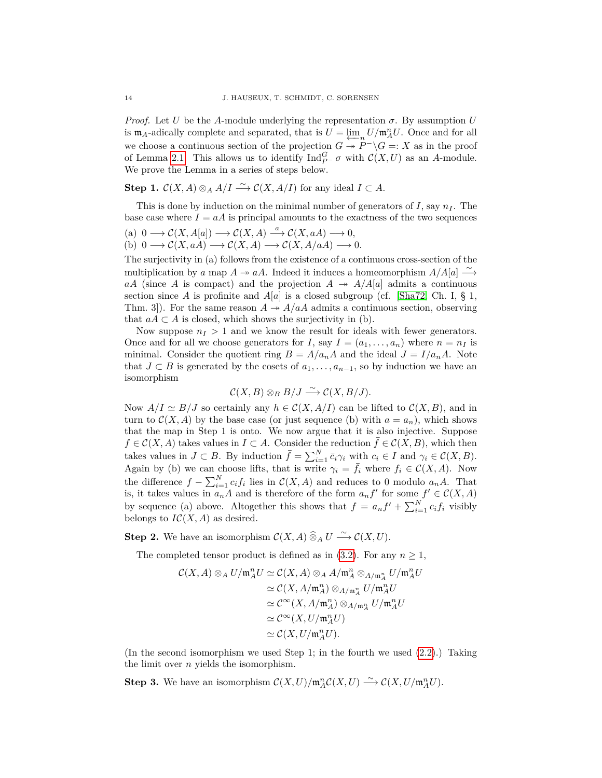*Proof.* Let *U* be the *A*-module underlying the representation  $\sigma$ . By assumption *U* is  $m_A$ -adically complete and separated, that is  $U = \varprojlim_n U/m_A^n U$ . Once and for all  $\lim_{M \to \infty} \frac{P}{P} - \lim_{M \to \infty} P / M_M C$ . Once and for all<br>we choose a continuous section of the projection  $G \to P^- \backslash G =: X$  as in the proof of Lemma [2.1.](#page-5-3) This allows us to identify  $\text{Ind}_{P^-}^G \sigma$  with  $\mathcal{C}(X, U)$  as an *A*-module. We prove the Lemma in a series of steps below.

**Step 1.**  $C(X, A) \otimes_A A/I \xrightarrow{\sim} C(X, A/I)$  for any ideal  $I \subset A$ .

This is done by induction on the minimal number of generators of  $I$ , say  $n_I$ . The base case where  $I = aA$  is principal amounts to the exactness of the two sequences

(a) 
$$
0 \longrightarrow C(X, A[a]) \longrightarrow C(X, A) \stackrel{a}{\longrightarrow} C(X, aA) \longrightarrow 0
$$
,  
(b)  $0 \longrightarrow C(X, aA) \longrightarrow C(X, A) \longrightarrow C(X, A/aA) \longrightarrow 0$ .

The surjectivity in (a) follows from the existence of a continuous cross-section of the multiplication by *a* map  $A \rightarrow aA$ . Indeed it induces a homeomorphism  $A/A[a] \xrightarrow{\sim} A$ *aA* (since *A* is compact) and the projection  $A \rightarrow A/A[a]$  admits a continuous section since *A* is profinite and  $A[a]$  is a closed subgroup (cf. [\[Sha72,](#page-27-5) Ch. I, § 1, Thm. 3. For the same reason  $A \rightarrow A/aA$  admits a continuous section, observing that  $aA \subset A$  is closed, which shows the surjectivity in (b).

Now suppose  $n_I > 1$  and we know the result for ideals with fewer generators. Once and for all we choose generators for *I*, say  $I = (a_1, \ldots, a_n)$  where  $n = n_I$  is minimal. Consider the quotient ring  $B = A/a_nA$  and the ideal  $J = I/a_nA$ . Note that *J* ⊂ *B* is generated by the cosets of  $a_1, \ldots, a_{n-1}$ , so by induction we have an isomorphism

$$
\mathcal{C}(X,B) \otimes_B B/J \xrightarrow{\sim} \mathcal{C}(X,B/J).
$$

Now  $A/I \simeq B/J$  so certainly any  $h \in \mathcal{C}(X, A/I)$  can be lifted to  $\mathcal{C}(X, B)$ , and in turn to  $C(X, A)$  by the base case (or just sequence (b) with  $a = a_n$ ), which shows that the map in Step 1 is onto. We now argue that it is also injective. Suppose *f* ∈  $\mathcal{C}(X, A)$  takes values in *I* ⊂ *A*. Consider the reduction *f* ∈  $\mathcal{C}(X, B)$ , which then takes values in  $J \subset B$ . By induction  $\bar{f} = \sum_{i=1}^{N} \bar{c}_i \gamma_i$  with  $c_i \in I$  and  $\gamma_i \in C(X, B)$ . Again by (b) we can choose lifts, that is write  $\gamma_i = \bar{f}_i$  where  $f_i \in C(X, A)$ . Now the difference  $f - \sum_{i=1}^{N} c_i f_i$  lies in  $\mathcal{C}(X, A)$  and reduces to 0 modulo  $a_n A$ . That is, it takes values in  $a_n A$  and is therefore of the form  $a_n f'$  for some  $f' \in C(X, A)$ by sequence (a) above. Altogether this shows that  $f = a_n f' + \sum_{i=1}^N c_i f_i$  visibly belongs to  $IC(X, A)$  as desired.

**Step 2.** We have an isomorphism  $\mathcal{C}(X, A) \widehat{\otimes}_A U \stackrel{\sim}{\longrightarrow} \mathcal{C}(X, U)$ .

The completed tensor product is defined as in  $(3.2)$ . For any  $n \geq 1$ ,

$$
\mathcal{C}(X, A) \otimes_A U/\mathfrak{m}_A^n U \simeq \mathcal{C}(X, A) \otimes_A A/\mathfrak{m}_A^n \otimes_{A/\mathfrak{m}_A^n} U/\mathfrak{m}_A^n U
$$
  
\n
$$
\simeq \mathcal{C}(X, A/\mathfrak{m}_A^n) \otimes_{A/\mathfrak{m}_A^n} U/\mathfrak{m}_A^n U
$$
  
\n
$$
\simeq \mathcal{C}^\infty(X, A/\mathfrak{m}_A^n) \otimes_{A/\mathfrak{m}_A^n} U/\mathfrak{m}_A^n U
$$
  
\n
$$
\simeq \mathcal{C}^\infty(X, U/\mathfrak{m}_A^n U)
$$
  
\n
$$
\simeq \mathcal{C}(X, U/\mathfrak{m}_A^n U).
$$

(In the second isomorphism we used Step 1; in the fourth we used [\(2.2\)](#page-5-1).) Taking the limit over *n* yields the isomorphism.

**Step 3.** We have an isomorphism  $\mathcal{C}(X, U)/\mathfrak{m}_A^n\mathcal{C}(X, U) \stackrel{\sim}{\longrightarrow} \mathcal{C}(X, U/\mathfrak{m}_A^n U)$ .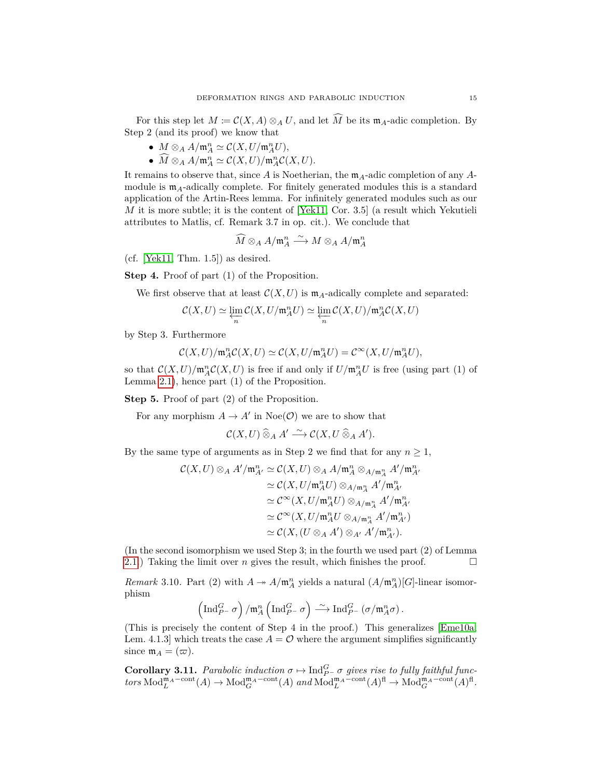For this step let  $M \coloneqq C(X, A) \otimes_A U$ , and let  $\widehat{M}$  be its  $\mathfrak{m}_A$ -adic completion. By Step 2 (and its proof) we know that

- $M \otimes_A A/\mathfrak{m}_A^n \simeq C(X, U/\mathfrak{m}_A^n U),$
- $\widehat{M} \otimes_A A/\mathfrak{m}_A^n \simeq C(X, U)/\mathfrak{m}_A^n C(X, U).$

It remains to observe that, since *A* is Noetherian, the m*A*-adic completion of any *A*module is  $m_A$ -adically complete. For finitely generated modules this is a standard application of the Artin-Rees lemma. For infinitely generated modules such as our *M* it is more subtle; it is the content of [\[Yek11,](#page-27-4) Cor. 3.5] (a result which Yekutieli attributes to Matlis, cf. Remark 3.7 in op. cit.). We conclude that

$$
\widehat{M}\otimes_A A/\mathfrak{m}_A^n\stackrel{\sim}{\longrightarrow} M\otimes_A A/\mathfrak{m}_A^n
$$

 $(cf. [Yek11, Thm. 1.5])$  $(cf. [Yek11, Thm. 1.5])$  $(cf. [Yek11, Thm. 1.5])$  as desired.

**Step 4.** Proof of part (1) of the Proposition.

We first observe that at least  $\mathcal{C}(X, U)$  is  $\mathfrak{m}_A$ -adically complete and separated:

$$
\mathcal{C}(X,U) \simeq \varprojlim_n \mathcal{C}(X,U/\mathfrak{m}_A^n U) \simeq \varprojlim_n \mathcal{C}(X,U)/\mathfrak{m}_A^n \mathcal{C}(X,U)
$$

by Step 3. Furthermore

$$
\mathcal{C}(X,U)/\mathfrak{m}_A^n\mathcal{C}(X,U) \simeq \mathcal{C}(X,U/\mathfrak{m}_A^n U) = \mathcal{C}^\infty(X,U/\mathfrak{m}_A^n U),
$$

so that  $\mathcal{C}(X, U)/\mathfrak{m}_A^n\mathcal{C}(X, U)$  is free if and only if  $U/\mathfrak{m}_A^nU$  is free (using part (1) of Lemma [2.1\)](#page-5-3), hence part (1) of the Proposition.

**Step 5.** Proof of part (2) of the Proposition.

For any morphism  $A \to A'$  in Noe( $\mathcal{O}$ ) we are to show that

$$
\mathcal{C}(X,U)\mathbin{\widehat{\otimes}}_A A'\stackrel{\sim}{\longrightarrow}\mathcal{C}(X,U\mathbin{\widehat{\otimes}}_A A').
$$

By the same type of arguments as in Step 2 we find that for any  $n \geq 1$ ,

$$
\mathcal{C}(X,U) \otimes_A A'/\mathfrak{m}_{A'}^n \simeq \mathcal{C}(X,U) \otimes_A A/\mathfrak{m}_{A}^n \otimes_{A/\mathfrak{m}_{A'}^n} A'/\mathfrak{m}_{A'}^n
$$
  
\n
$$
\simeq \mathcal{C}(X,U/\mathfrak{m}_{A}^n U) \otimes_{A/\mathfrak{m}_{A}^n} A'/\mathfrak{m}_{A'}^n
$$
  
\n
$$
\simeq \mathcal{C}^{\infty}(X,U/\mathfrak{m}_{A}^n U) \otimes_{A/\mathfrak{m}_{A}^n} A'/\mathfrak{m}_{A'}^n
$$
  
\n
$$
\simeq \mathcal{C}^{\infty}(X,U/\mathfrak{m}_{A}^n U \otimes_{A/\mathfrak{m}_{A}^n} A'/\mathfrak{m}_{A'}^n)
$$
  
\n
$$
\simeq \mathcal{C}(X,(U \otimes_A A') \otimes_{A'} A'/\mathfrak{m}_{A'}^n).
$$

(In the second isomorphism we used Step 3; in the fourth we used part (2) of Lemma [2.1.](#page-5-3)) Taking the limit over *n* gives the result, which finishes the proof.  $\square$ 

<span id="page-14-0"></span>*Remark* 3.10. Part (2) with  $A \to A/\mathfrak{m}_A^n$  yields a natural  $(A/\mathfrak{m}_A^n)[G]$ -linear isomorphism

$$
\left(\mathrm{Ind}_{P^-}^G \sigma\right)/\mathfrak{m}_A^n\left(\mathrm{Ind}_{P^-}^G \sigma\right) \xrightarrow{\sim} \mathrm{Ind}_{P^-}^G\left(\sigma/\mathfrak{m}_A^n \sigma\right).
$$

(This is precisely the content of Step 4 in the proof.) This generalizes [\[Eme10a,](#page-26-11) Lem. 4.1.3] which treats the case  $A = \mathcal{O}$  where the argument simplifies significantly since  $m_A = (\varpi)$ .

**Corollary 3.11.** *Parabolic induction*  $\sigma \mapsto \text{Ind}_{P^-}^G \sigma$  *gives rise to fully faithful func* $tors \text{ Mod}_{L}^{\mathfrak{m}_{A}-\text{cont}}(A) \rightarrow \text{Mod}_{G}^{\mathfrak{m}_{A}-\text{cont}}(A) \text{ and } \text{Mod}_{L}^{\mathfrak{m}_{A}-\text{cont}}(A)^{\text{fl}} \rightarrow \text{Mod}_{G}^{\mathfrak{m}_{A}-\text{cont}}(A)^{\text{fl}}.$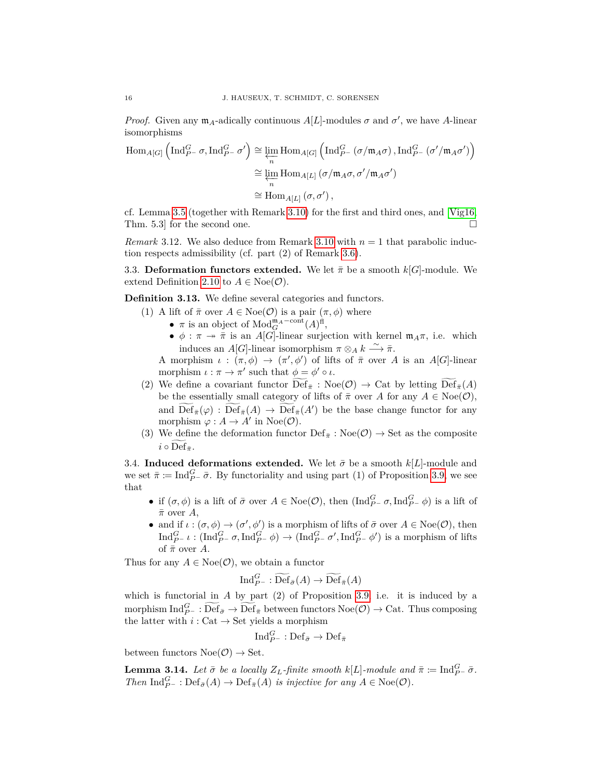*Proof.* Given any  $\mathfrak{m}_A$ -adically continuous  $A[L]$ -modules  $\sigma$  and  $\sigma'$ , we have A-linear isomorphisms

$$
\text{Hom}_{A[G]}\left(\text{Ind}_{P^-}^G \sigma, \text{Ind}_{P^-}^G \sigma'\right) \cong \varprojlim_n \text{Hom}_{A[G]}\left(\text{Ind}_{P^-}^G (\sigma/\mathfrak{m}_A \sigma), \text{Ind}_{P^-}^G (\sigma'/\mathfrak{m}_A \sigma')\right)
$$

$$
\cong \varprojlim_n \text{Hom}_{A[L]}(\sigma/\mathfrak{m}_A \sigma, \sigma'/\mathfrak{m}_A \sigma')
$$

$$
\cong \text{Hom}_{A[L]}(\sigma, \sigma'),
$$

cf. Lemma [3.5](#page-12-1) (together with Remark [3.10\)](#page-14-0) for the first and third ones, and [\[Vig16,](#page-27-3) Thm. 5.3 for the second one.  $\square$ 

*Remark* 3.12*.* We also deduce from Remark [3.10](#page-14-0) with *n* = 1 that parabolic induction respects admissibility (cf. part (2) of Remark [3.6\)](#page-0-0).

<span id="page-15-0"></span>3.3. **Deformation functors extended.** We let  $\bar{\pi}$  be a smooth  $k[G]$ -module. We extend Definition [2.10](#page-8-2) to  $A \in \text{Noe}(\mathcal{O})$ .

<span id="page-15-3"></span>**Definition 3.13.** We define several categories and functors.

- (1) A lift of  $\bar{\pi}$  over  $A \in \text{Noe}(\mathcal{O})$  is a pair  $(\pi, \phi)$  where
	- $\pi$  is an object of  $Mod_G^{\mathfrak{m}_A\text{-cont}}(A)^{\text{fl}}$ ,
	- $\phi : \pi \to \bar{\pi}$  is an *A*[*G*]-linear surjection with kernel  $\mathfrak{m}_A \pi$ , i.e. which induces an *A*[*G*]-linear isomorphism  $\pi \otimes_A k \stackrel{\sim}{\longrightarrow} \bar{\pi}$ .

A morphism  $\iota : (\pi, \phi) \to (\pi', \phi')$  of lifts of  $\bar{\pi}$  over A is an A[*G*]-linear morphism  $\iota : \pi \to \pi'$  such that  $\phi = \phi' \circ \iota$ .

- (2) We define a covariant functor  $\mathrm{Def}_{\bar{\pi}}$  :  $\mathrm{Noe}(\mathcal{O}) \to \mathrm{Cat}$  by letting  $\mathrm{Def}_{\bar{\pi}}(A)$ be the essentially small category of lifts of  $\bar{\pi}$  over *A* for any  $A \in \text{Noe}(\mathcal{O})$ , and  $\overline{\text{Def}}_{\bar{\pi}}(\varphi) : \overline{\text{Def}}_{\bar{\pi}}(A) \to \overline{\text{Def}}_{\bar{\pi}}(A')$  be the base change functor for any morphism  $\varphi : A \to A'$  in Noe( $\mathcal{O}$ ).
- (3) We define the deformation functor  $\text{Def}_{\bar{\pi}} : \text{Noe}(\mathcal{O}) \to \text{Set}$  as the composite  $i \circ \text{Def}_{\bar{x}}$ .

<span id="page-15-1"></span>3.4. **Induced deformations extended.** We let  $\bar{\sigma}$  be a smooth  $k[L]$ -module and we set  $\bar{\pi} := \text{Ind}_{P^-}^G \bar{\sigma}$ . By functoriality and using part (1) of Proposition [3.9,](#page-12-2) we see that

- if  $(\sigma, \phi)$  is a lift of  $\bar{\sigma}$  over  $A \in \text{Noe}(\mathcal{O})$ , then  $(\text{Ind}_{P^-}^G \sigma, \text{Ind}_{P^-}^G \phi)$  is a lift of  $\bar{\pi}$  over *A*,
- and if  $\iota : (\sigma, \phi) \to (\sigma', \phi')$  is a morphism of lifts of  $\bar{\sigma}$  over  $A \in \text{Noe}(\mathcal{O})$ , then  $\text{Ind}_{P^-}^G \iota : (\text{Ind}_{P^-}^G \sigma, \text{Ind}_{P^-}^G \phi) \to (\text{Ind}_{P^-}^G \sigma', \text{Ind}_{P^-}^G \phi')$  is a morphism of lifts of  $\bar{\pi}$  over *A*.

Thus for any  $A \in \text{Noe}(\mathcal{O})$ , we obtain a functor

$$
\text{Ind}_{P^-}^G : \widetilde{\text{Def}}_{\bar{\sigma}}(A) \to \widetilde{\text{Def}}_{\bar{\pi}}(A)
$$

which is functorial in *A* by part (2) of Proposition [3.9,](#page-12-2) i.e. it is induced by a morphism  $\text{Ind}_{P^-}^G : \widetilde{\text{Def}}_{\bar{\sigma}} \to \widetilde{\text{Def}}_{\bar{\pi}}$  between functors  $\text{Noe}(\mathcal{O}) \to \text{Cat}$ . Thus composing the latter with  $i: \mathrm{Cat} \to \mathrm{Set}$  yields a morphism

$$
\text{Ind}_{P^-}^G: \text{Def}_{\bar{\sigma}} \to \text{Def}_{\bar{\pi}}
$$

between functors  $Noe(\mathcal{O}) \rightarrow Set$ .

<span id="page-15-2"></span>**Lemma 3.14.** *Let*  $\bar{\sigma}$  *be a locally*  $Z_L$ *-finite smooth*  $k[L]$ *-module and*  $\bar{\pi} \coloneqq \text{Ind}_{P}^G \bar{\sigma}$ *. Then*  $\text{Ind}_{P^-}^G$  :  $\text{Def}_{\bar{\sigma}}(A) \to \text{Def}_{\bar{\pi}}(A)$  *is injective for any*  $A \in \text{Noe}(\mathcal{O})$ *.*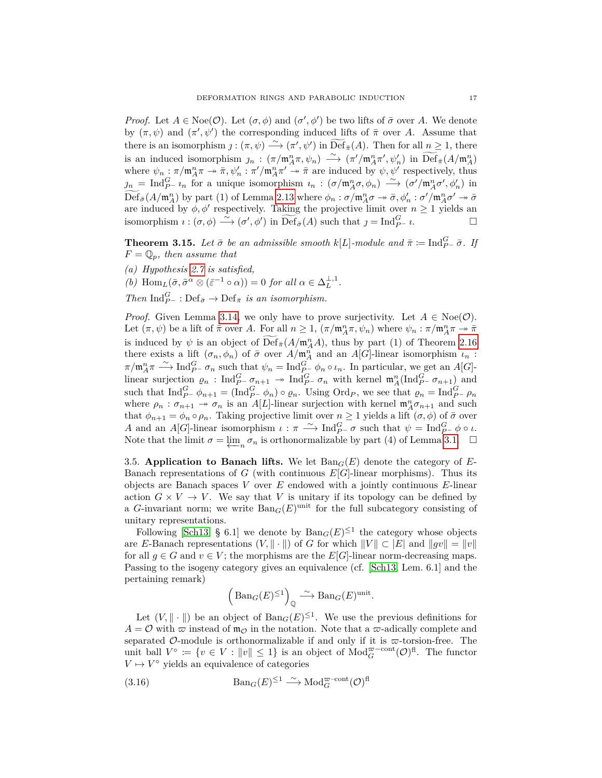*Proof.* Let  $A \in \text{Noe}(\mathcal{O})$ . Let  $(\sigma, \phi)$  and  $(\sigma', \phi')$  be two lifts of  $\bar{\sigma}$  over A. We denote by  $(\pi, \psi)$  and  $(\pi', \psi')$  the corresponding induced lifts of  $\bar{\pi}$  over *A*. Assume that there is an isomorphism  $j : (\pi, \psi) \longrightarrow (\pi', \psi')$  in  $\widetilde{\text{Def}}_{\bar{\pi}}(A)$ . Then for all  $n \geq 1$ , there is an induced isomorphism  $j_n : (\pi/\mathfrak{m}_A^n \pi, \psi_n) \longrightarrow (\pi/\mathfrak{m}_A^n \pi', \psi_n')$  in  $\widetilde{\text{Def}}_{\bar{\pi}}(A/\mathfrak{m}_A^n)$ where  $\psi_n : \pi/\mathfrak{m}_A^n \pi \to \bar{\pi}, \psi_n' : \pi'/\mathfrak{m}_A^n \pi' \to \bar{\pi}$  are induced by  $\psi, \psi'$  respectively, thus  $p_n = \text{Ind}_{P}^G \iota_n$  for a unique isomorphism  $i_n : (\sigma/\mathfrak{m}_A^n \sigma, \phi_n) \stackrel{\sim}{\longrightarrow} (\sigma'/\mathfrak{m}_A^n \sigma', \phi'_n)$  in  $\widetilde{\text{Def}}_{\bar{\sigma}}(A/\mathfrak{m}_A^n)$  by part (1) of Lemma [2.13](#page-9-2) where  $\phi_n : \sigma/\mathfrak{m}_A^n \sigma \to \bar{\sigma}, \phi_n' : \sigma'/\mathfrak{m}_A^n \sigma' \to \bar{\sigma}$ are induced by  $\phi$ ,  $\phi'$  respectively. Taking the projective limit over  $n \geq 1$  yields an isomorphism  $\imath : (\sigma, \phi) \xrightarrow{\sim} (\sigma', \phi')$  in  $\widetilde{\text{Def}}_{\bar{\sigma}}(A)$  such that  $\jmath = \text{Ind}_{P^-}^G \imath$ .

<span id="page-16-2"></span>**Theorem 3.15.** *Let*  $\bar{\sigma}$  *be an admissible smooth*  $k[L]$ *-module and*  $\bar{\pi} \coloneqq \text{Ind}_{P}^G - \bar{\sigma}$ *. If*  $F = \mathbb{Q}_p$ *, then assume that* 

*(a) Hypothesis [2.7](#page-7-2) is satisfied,*

*(b)*  $\text{Hom}_{L}(\bar{\sigma}, \bar{\sigma}^{\alpha} \otimes (\bar{\varepsilon}^{-1} \circ \alpha)) = 0$  *for all*  $\alpha \in \Delta_{L}^{\perp,1}$ .

*Then*  $\text{Ind}_{P^-}^G$  :  $\text{Def}_{\bar{\sigma}} \to \text{Def}_{\bar{\pi}}$  *is an isomorphism.* 

*Proof.* Given Lemma [3.14,](#page-15-2) we only have to prove surjectivity. Let  $A \in \text{Noe}(\mathcal{O})$ . Let  $(\pi, \psi)$  be a lift of  $\bar{\pi}$  over *A*. For all  $n \geq 1$ ,  $(\pi/\mathfrak{m}_A^n\pi, \psi_n)$  where  $\psi_n : \pi/\mathfrak{m}_A^n\pi \to \bar{\pi}$ is induced by  $\psi$  is an object of  $\widetilde{\text{Def}}_{\bar{\pi}}(A/\mathfrak{m}_A^n A)$ , thus by part (1) of Theorem [2.16](#page-9-0) there exists a lift  $(\sigma_n, \phi_n)$  of  $\bar{\sigma}$  over  $A/\mathfrak{m}_A^n$  and an  $A[G]$ -linear isomorphism  $\iota_n$ :  $\pi/m_A^n \pi \longrightarrow \text{Ind}_{P^-}^G \sigma_n$  such that  $\psi_n = \text{Ind}_{P^-}^G \phi_n \circ \iota_n$ . In particular, we get an *A*[*G*]linear surjection  $\varrho_n$ : Ind $_{P^-}^G \sigma_{n+1} \to \text{Ind}_{P^-}^G \sigma_n$  with kernel  $\mathfrak{m}_A^n(\text{Ind}_{P^-}^G \sigma_{n+1})$  and such that  $\text{Ind}_{P^-}^G \phi_{n+1} = (\text{Ind}_{P^-}^G \phi_n) \circ \varrho_n$ . Using  $\text{Ord}_P$ , we see that  $\varrho_n = \text{Ind}_{P^-}^G \rho_n$ where  $\rho_n : \sigma_{n+1} \to \sigma_n$  is an *A*[*L*]-linear surjection with kernel  $\mathfrak{m}_A^n \sigma_{n+1}$  and such that  $\phi_{n+1} = \phi_n \circ \rho_n$ . Taking projective limit over  $n \geq 1$  yields a lift  $(\sigma, \phi)$  of  $\bar{\sigma}$  over *A* and an *A*[*G*]-linear isomorphism  $\iota : \pi \longrightarrow \text{Ind}_{P}^G - \sigma$  such that  $\psi = \text{Ind}_{P}^G - \phi \circ \iota$ . Note that the limit  $\sigma = \varprojlim_n \sigma_n$  is orthonormalizable by part (4) of Lemma [3.1.](#page-11-3)  $\Box$ 

<span id="page-16-0"></span>3.5. **Application to Banach lifts.** We let  $\text{Ban}_G(E)$  denote the category of *E*-Banach representations of *G* (with continuous  $E[G]$ -linear morphisms). Thus its objects are Banach spaces *V* over *E* endowed with a jointly continuous *E*-linear action  $G \times V \to V$ . We say that *V* is unitary if its topology can be defined by a *G*-invariant norm; we write  $\text{Ban}_G(E)$ <sup>unit</sup> for the full subcategory consisting of unitary representations.

Following [\[Sch13,](#page-27-0) § 6.1] we denote by  $\text{Ban}_G(E) \leq 1$  the category whose objects are *E*-Banach representations  $(V, \|\cdot\|)$  of *G* for which  $||V|| \subset |E|$  and  $||gv|| = ||v||$ for all  $g \in G$  and  $v \in V$ ; the morphisms are the *E*[*G*]-linear norm-decreasing maps. Passing to the isogeny category gives an equivalence (cf. [\[Sch13,](#page-27-0) Lem. 6.1] and the pertaining remark)

<span id="page-16-1"></span>
$$
\left(\operatorname{Ban}_G(E)^{\leq 1}\right)_{\mathbb{Q}} \stackrel{\sim}{\longrightarrow} \operatorname{Ban}_G(E)^{\operatorname{unit}}.
$$

Let  $(V, \|\cdot\|)$  be an object of  $\text{Ban}_G(E)^{\leq 1}$ . We use the previous definitions for  $A = \mathcal{O}$  with  $\varpi$  instead of  $\mathfrak{m}_{\mathcal{O}}$  in the notation. Note that a  $\varpi$ -adically complete and separated O-module is orthonormalizable if and only if it is  $\varpi$ -torsion-free. The unit ball  $V^{\circ} := \{v \in V : ||v|| \leq 1\}$  is an object of  $Mod_G^{\varpi-cont}(\mathcal{O})^{\text{fl}}$ . The functor  $V \mapsto V^{\circ}$  yields an equivalence of categories

(3.16) 
$$
\text{Ban}_G(E)^{\leq 1} \xrightarrow{\sim} \text{Mod}_G^{\varpi\text{-cont}}(\mathcal{O})^{\text{fl}}
$$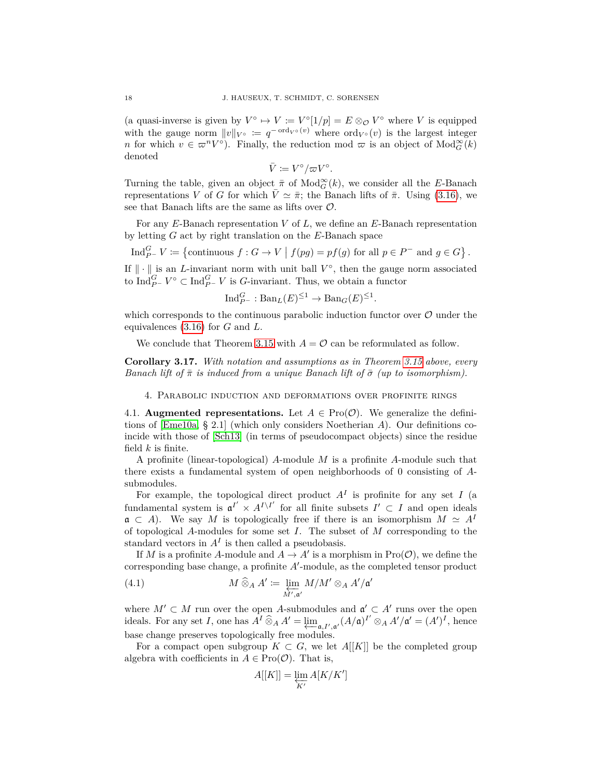(a quasi-inverse is given by  $V^{\circ} \to V \coloneqq V^{\circ}[1/p] = E \otimes_{\mathcal{O}} V^{\circ}$  where *V* is equipped with the gauge norm  $||v||_{V^{\circ}} := q^{-\text{ord}_{V^{\circ}}(v)}$  where  $\text{ord}_{V^{\circ}}(v)$  is the largest integer *n* for which  $v \in \pi^n V^\circ$ ). Finally, the reduction mod  $\pi$  is an object of  $\text{Mod}_{G}^{\infty}(k)$ denoted

$$
\bar{V} \coloneqq V^{\circ}/\varpi V^{\circ}.
$$

Turning the table, given an object  $\bar{\pi}$  of  $\text{Mod}_{G}^{\infty}(k)$ , we consider all the *E*-Banach representations *V* of *G* for which  $\bar{V} \simeq \bar{\pi}$ ; the Banach lifts of  $\bar{\pi}$ . Using [\(3.16\)](#page-16-1), we see that Banach lifts are the same as lifts over  $\mathcal{O}$ .

For any *E*-Banach representation *V* of *L*, we define an *E*-Banach representation by letting *G* act by right translation on the *E*-Banach space

Ind $_{P^-}^G V \coloneqq \{$  continuous  $f : G \to V \mid f(pg) = pf(g)$  for all  $p \in P^-$  and  $g \in G\}$ .

If  $\|\cdot\|$  is an *L*-invariant norm with unit ball  $V^{\circ}$ , then the gauge norm associated to  $\text{Ind}_{P^-}^G V^\circ \subset \text{Ind}_{P^-}^G V$  is *G*-invariant. Thus, we obtain a functor

$$
\text{Ind}_{P^-}^G : \text{Ban}_L(E)^{\leq 1} \to \text{Ban}_G(E)^{\leq 1}
$$

*.*

 $\prime$ 

which corresponds to the continuous parabolic induction functor over  $\mathcal O$  under the equivalences [\(3.16\)](#page-16-1) for *G* and *L*.

We conclude that Theorem [3.15](#page-16-2) with  $A = \mathcal{O}$  can be reformulated as follow.

<span id="page-17-2"></span>**Corollary 3.17.** *With notation and assumptions as in Theorem [3.15](#page-16-2) above, every Banach lift of*  $\bar{\pi}$  *is induced from a unique Banach lift of*  $\bar{\sigma}$  *(up to isomorphism).* 

<span id="page-17-0"></span>4. Parabolic induction and deformations over profinite rings

<span id="page-17-1"></span>4.1. **Augmented representations.** Let  $A \in \text{Pro}(\mathcal{O})$ . We generalize the definitions of [\[Eme10a,](#page-26-11) § 2.1] (which only considers Noetherian *A*). Our definitions coincide with those of [\[Sch13\]](#page-27-0) (in terms of pseudocompact objects) since the residue field *k* is finite.

A profinite (linear-topological) *A*-module *M* is a profinite *A*-module such that there exists a fundamental system of open neighborhoods of 0 consisting of *A*submodules.

For example, the topological direct product  $A<sup>I</sup>$  is profinite for any set *I* (a fundamental system is  $\mathfrak{a}^{I'} \times A^{I \setminus I'}$  for all finite subsets  $I' \subset I$  and open ideals  $\mathfrak{a} \subset A$ ). We say M is topologically free if there is an isomorphism  $M \simeq A^I$ of topological *A*-modules for some set *I*. The subset of *M* corresponding to the standard vectors in  $A<sup>I</sup>$  is then called a pseudobasis.

If *M* is a profinite *A*-module and  $A \to A'$  is a morphism in  $\text{Pro}(\mathcal{O})$ , we define the corresponding base change, a profinite  $A'$ -module, as the completed tensor product

(4.1) 
$$
M \widehat{\otimes}_A A' \coloneqq \varprojlim_{M', \mathfrak{a}'} M/M' \otimes_A A'/\mathfrak{a}
$$

where  $M' \subset M$  run over the open *A*-submodules and  $\mathfrak{a}' \subset A'$  runs over the open ideals. For any set *I*, one has  $\overline{A}^I \widehat{\otimes}_A A' = \varprojlim_{\mathfrak{a}, I', \mathfrak{a}'} (A/\mathfrak{a})^{I'} \otimes_A A'/\mathfrak{a}' = (A')^I$ , hence base change preserves topologically free modules.

For a compact open subgroup  $K \subset G$ , we let  $A[[K]]$  be the completed group algebra with coefficients in  $A \in \text{Pro}(\mathcal{O})$ . That is,

<span id="page-17-3"></span>
$$
A[[K]]=\varprojlim_{K'}A[K/K']
$$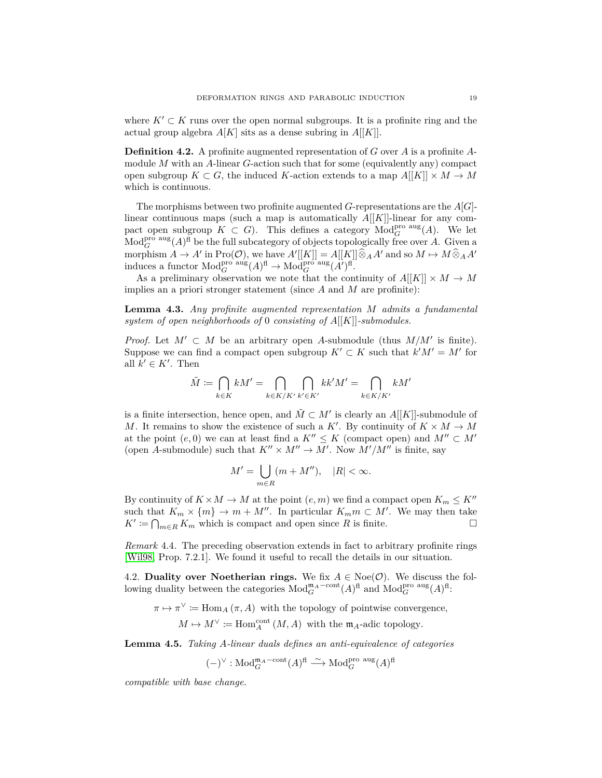where  $K' \subset K$  runs over the open normal subgroups. It is a profinite ring and the actual group algebra  $A[K]$  sits as a dense subring in  $A[[K]]$ .

**Definition 4.2.** A profinite augmented representation of *G* over *A* is a profinite *A*module *M* with an *A*-linear *G*-action such that for some (equivalently any) compact open subgroup  $K \subset G$ , the induced *K*-action extends to a map  $A[[K]] \times M \to M$ which is continuous.

The morphisms between two profinite augmented *G*-representations are the *A*[*G*] linear continuous maps (such a map is automatically *A*[[*K*]]-linear for any compact open subgroup  $K \subset G$ ). This defines a category  $\text{Mod}_G^{\text{pro aus}}(A)$ . We let  $\text{Mod}_{G}^{\text{pro aus}}(A)^{\text{fl}}$  be the full subcategory of objects topologically free over *A*. Given a morphism  $A \to A'$  in  $\text{Pro}(\mathcal{O})$ , we have  $A'[[K]] = A[[K]] \widehat{\otimes}_A A'$  and so  $M \mapsto M \widehat{\otimes}_A A'$ <br>induces a functor  $\text{Mod}_G^{\text{pro aus}}(A)^{\text{fl}} \to \text{Mod}_G^{\text{pro aus}}(A')^{\text{fl}}$ .

As a preliminary observation we note that the continuity of  $A[[K]] \times M \to M$ implies an a priori stronger statement (since *A* and *M* are profinite):

<span id="page-18-1"></span>**Lemma 4.3.** *Any profinite augmented representation M admits a fundamental system of open neighborhoods of* 0 *consisting of A*[[*K*]]*-submodules.*

*Proof.* Let  $M' \subset M$  be an arbitrary open *A*-submodule (thus  $M/M'$  is finite). Suppose we can find a compact open subgroup  $K' \subset K$  such that  $k'M' = M'$  for all  $k' \in K'$ . Then

$$
\tilde{M} \coloneqq \bigcap_{k \in K} kM' = \bigcap_{k \in K/K'} \bigcap_{k' \in K'} kk'M' = \bigcap_{k \in K/K'} kM'
$$

is a finite intersection, hence open, and  $\tilde{M} \subset M'$  is clearly an  $A[[K]]$ -submodule of *M*. It remains to show the existence of such a *K'*. By continuity of  $K \times M \rightarrow M$ at the point  $(e, 0)$  we can at least find a  $K'' \leq K$  (compact open) and  $M'' \subset M'$ (open *A*-submodule) such that  $K'' \times M'' \to M'$ . Now  $M'/M''$  is finite, say

$$
M' = \bigcup_{m \in R} (m + M''), \quad |R| < \infty.
$$

By continuity of  $K \times M \to M$  at the point  $(e, m)$  we find a compact open  $K_m \leq K''$ such that  $K_m \times \{m\} \to m + M''$ . In particular  $K_m m \subset M'$ . We may then take  $K' := \bigcap_{m \in R} K_m$  which is compact and open since *R* is finite.

*Remark* 4.4*.* The preceding observation extends in fact to arbitrary profinite rings [\[Wil98,](#page-27-6) Prop. 7.2.1]. We found it useful to recall the details in our situation.

<span id="page-18-0"></span>4.2. **Duality over Noetherian rings.** We fix  $A \in \text{Noe}(\mathcal{O})$ . We discuss the following duality between the categories  $Mod_G^{\mathfrak{m}_A\text{-cont}}(A)^{\text{fl}}$  and  $Mod_G^{\text{pro aus}}(A)^{\text{fl}}$ :

 $\pi \mapsto \pi^{\vee} := \text{Hom}_{A}(\pi, A)$  with the topology of pointwise convergence,

$$
M \mapsto M^{\vee} \coloneqq \text{Hom}_{A}^{\text{cont}}(M, A) \text{ with the } \mathfrak{m}_A \text{-adic topology.}
$$

<span id="page-18-2"></span>**Lemma 4.5.** *Taking A-linear duals defines an anti-equivalence of categories*

 $(-)^{\vee}$ : Mod $_{G}^{\mathfrak{m}_A-\text{cont}}(A)^{\text{fl}} \xrightarrow{\sim} \text{Mod}_{G}^{\text{pro aus}}(A)^{\text{fl}}$ 

*compatible with base change.*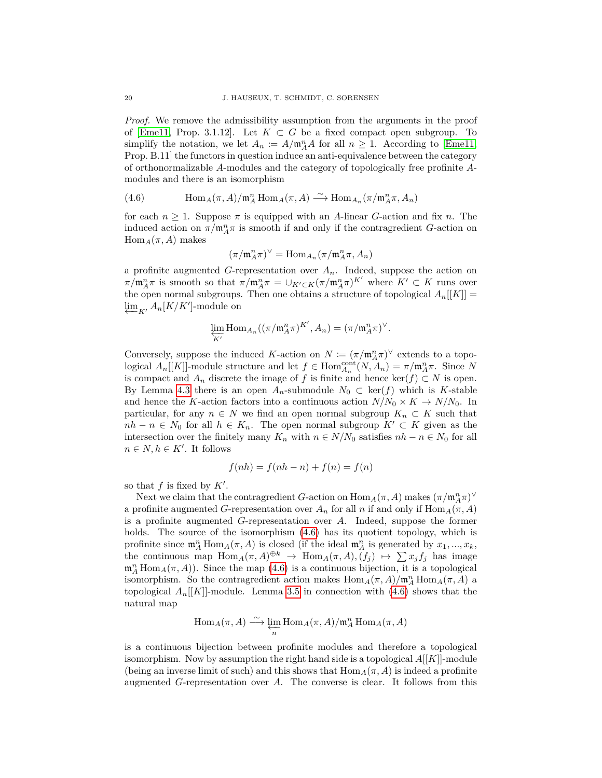*Proof.* We remove the admissibility assumption from the arguments in the proof of [\[Eme11,](#page-26-20) Prop. 3.1.12]. Let  $K \subset G$  be a fixed compact open subgroup. To simplify the notation, we let  $A_n := A/\mathfrak{m}_A^n A$  for all  $n \geq 1$ . According to [\[Eme11,](#page-26-20) Prop. B.11] the functors in question induce an anti-equivalence between the category of orthonormalizable *A*-modules and the category of topologically free profinite *A*modules and there is an isomorphism

<span id="page-19-0"></span>(4.6) 
$$
\text{Hom}_{A}(\pi, A)/\mathfrak{m}_{A}^{n} \text{Hom}_{A}(\pi, A) \xrightarrow{\sim} \text{Hom}_{A_{n}}(\pi/\mathfrak{m}_{A}^{n} \pi, A_{n})
$$

for each  $n \geq 1$ . Suppose  $\pi$  is equipped with an *A*-linear *G*-action and fix *n*. The induced action on  $\pi/\mathfrak{m}_A^n \pi$  is smooth if and only if the contragredient *G*-action on  $Hom_A(\pi, A)$  makes

$$
(\pi/\mathfrak{m}_A^n\pi)^\vee=\mathrm{Hom}_{A_n}(\pi/\mathfrak{m}_A^n\pi,A_n)
$$

a profinite augmented *G*-representation over  $A_n$ . Indeed, suppose the action on *π/***m**<sup>*n*</sup><sub>*A*</sub>*π* is smooth so that  $\pi/\mathfrak{m}_A^n \pi = \cup_{K' \subset K} (\pi/\mathfrak{m}_A^n \pi)^{K'}$  where  $K' \subset K$  runs over the open normal subgroups. Then one obtains a structure of topological  $A_n[[K]] =$  $\varprojlim_{K'} A_n[K/K']$ -module on

$$
\varprojlim_{K'} \text{Hom}_{A_n}((\pi/\mathfrak{m}_A^n \pi)^{K'}, A_n) = (\pi/\mathfrak{m}_A^n \pi)^\vee.
$$

Conversely, suppose the induced *K*-action on  $N \coloneqq (\pi / \mathfrak{m}_A^n \pi)^\vee$  extends to a topological  $A_n[[K]]$ -module structure and let  $f \in Hom_{A_n}^{\text{cont}}(N, A_n) = \pi/\mathfrak{m}_A^n \pi$ . Since N is compact and  $A_n$  discrete the image of *f* is finite and hence ker(*f*) ⊂ *N* is open. By Lemma [4.3](#page-18-1) there is an open  $A_n$ -submodule  $N_0 \subset \text{ker}(f)$  which is *K*-stable and hence the *K*-action factors into a continuous action  $N/N_0 \times K \to N/N_0$ . In particular, for any  $n \in N$  we find an open normal subgroup  $K_n \subset K$  such that *nh* − *n* ∈ *N*<sub>0</sub> for all *h* ∈ *K<sub>n</sub>*. The open normal subgroup  $K' \subset K$  given as the intersection over the finitely many  $K_n$  with  $n \in N/N_0$  satisfies  $nh - n \in N_0$  for all  $n \in N, h \in K'$ . It follows

$$
f(nh) = f(nh - n) + f(n) = f(n)
$$

so that  $f$  is fixed by  $K'$ .

Next we claim that the contragredient *G*-action on  $\text{Hom}_A(\pi, A)$  makes  $(\pi/\mathfrak{m}_A^n \pi)^\vee$ a profinite augmented *G*-representation over  $A_n$  for all *n* if and only if  $\text{Hom}_A(\pi, A)$ is a profinite augmented *G*-representation over *A*. Indeed, suppose the former holds. The source of the isomorphism  $(4.6)$  has its quotient topology, which is profinite since  $\mathfrak{m}_A^n$  Hom<sub>*A*</sub>( $\pi$ , *A*) is closed (if the ideal  $\mathfrak{m}_A^n$  is generated by  $x_1, ..., x_k$ , the continuous map  $Hom_A(\pi, A) \oplus k \to Hom_A(\pi, A), (f_j) \mapsto \sum x_j f_j$  has image  $\mathfrak{m}_A^n$  Hom<sub>*A*</sub>( $\pi$ , *A*)). Since the map [\(4.6\)](#page-19-0) is a continuous bijection, it is a topological isomorphism. So the contragredient action makes  $\text{Hom}_A(\pi, A)/\mathfrak{m}_A^n \text{Hom}_A(\pi, A)$  a topological  $A_n[[K]]$ -module. Lemma [3.5](#page-12-1) in connection with  $(4.6)$  shows that the natural map

$$
\operatorname{Hom}_A(\pi, A) \xrightarrow{\sim} \varprojlim_n \operatorname{Hom}_A(\pi, A)/\mathfrak{m}_A^n \operatorname{Hom}_A(\pi, A)
$$

is a continuous bijection between profinite modules and therefore a topological isomorphism. Now by assumption the right hand side is a topological *A*[[*K*]]-module (being an inverse limit of such) and this shows that  $\text{Hom}_A(\pi, A)$  is indeed a profinite augmented *G*-representation over *A*. The converse is clear. It follows from this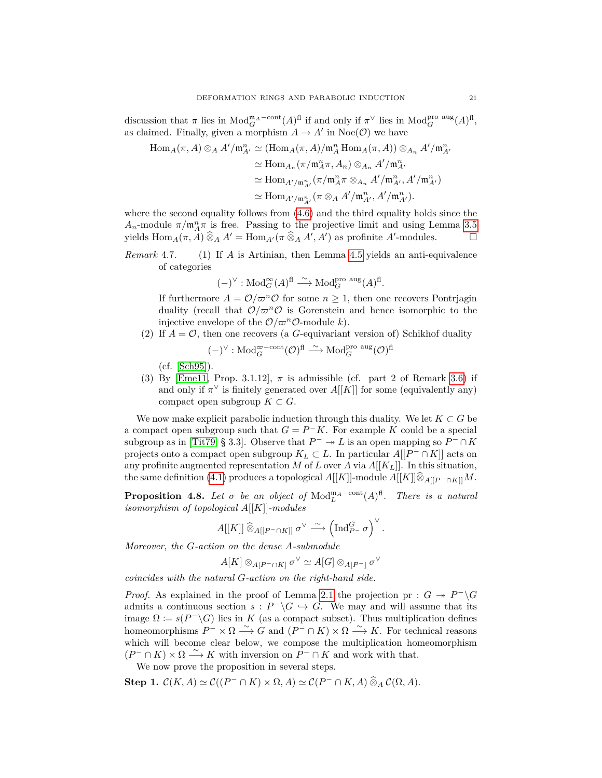discussion that  $\pi$  lies in  $Mod_G^{\mathfrak{m}_A\text{-cont}}(A)^{\text{fl}}$  if and only if  $\pi^{\vee}$  lies in  $Mod_G^{\text{pro aus}}(A)^{\text{fl}}$ , as claimed. Finally, given a morphism  $A \to A'$  in Noe( $\mathcal{O}$ ) we have

$$
\operatorname{Hom}_{A}(\pi, A) \otimes_A A' / \mathfrak{m}_{A'}^n \simeq (\operatorname{Hom}_A(\pi, A) / \mathfrak{m}_A^n \operatorname{Hom}_A(\pi, A)) \otimes_{A_n} A' / \mathfrak{m}_{A'}^n
$$
  
\n
$$
\simeq \operatorname{Hom}_{A_n}(\pi / \mathfrak{m}_A^n \pi, A_n) \otimes_{A_n} A' / \mathfrak{m}_{A'}^n
$$
  
\n
$$
\simeq \operatorname{Hom}_{A' / \mathfrak{m}_{A'}^n}(\pi / \mathfrak{m}_A^n \pi \otimes_{A_n} A' / \mathfrak{m}_{A'}^n, A' / \mathfrak{m}_{A'}^n)
$$
  
\n
$$
\simeq \operatorname{Hom}_{A' / \mathfrak{m}_{A'}^n}(\pi \otimes_A A' / \mathfrak{m}_{A'}^n, A' / \mathfrak{m}_{A'}^n).
$$

where the second equality follows from [\(4.6\)](#page-19-0) and the third equality holds since the  $A_n$ -module  $\pi/\mathfrak{m}_A^n\pi$  is free. Passing to the projective limit and using Lemma [3.5](#page-12-1) yields  $\text{Hom}_A(\pi, \tilde{A}) \widehat{\otimes}_A A' = \text{Hom}_{A'}(\pi \widehat{\otimes}_A A', A')$  as profinite  $A'$ -modules.  $\square$ 

*Remark* 4.7*.* (1) If *A* is Artinian, then Lemma [4.5](#page-18-2) yields an anti-equivalence of categories

$$
(-)^{\vee} : \mathrm{Mod}^{\infty}_G(A)^{\mathrm{fl}} \stackrel{\sim}{\longrightarrow} \mathrm{Mod}^{\mathrm{pro\;aug}}_G(A)^{\mathrm{fl}}.
$$

If furthermore  $A = \mathcal{O}/\varpi^n \mathcal{O}$  for some  $n \geq 1$ , then one recovers Pontrjagin duality (recall that  $\mathcal{O}/\varpi^n\mathcal{O}$  is Gorenstein and hence isomorphic to the injective envelope of the  $\mathcal{O}/\varpi^n\mathcal{O}$ -module *k*).

(2) If  $A = \mathcal{O}$ , then one recovers (a *G*-equivariant version of) Schikhof duality

$$
(-)^{\vee} : \mathrm{Mod}^{\varpi-{\rm cont}}_G(\mathcal{O})^{\mathrm{fl}} \stackrel{\sim}{\longrightarrow} \mathrm{Mod}^{\mathrm{pro\;aug}}_G(\mathcal{O})^{\mathrm{fl}}
$$

(cf. [\[Sch95\]](#page-26-21)).

(3) By [\[Eme11,](#page-26-20) Prop. 3.1.12],  $\pi$  is admissible (cf. part 2 of Remark [3.6\)](#page-0-0) if and only if  $\pi^{\vee}$  is finitely generated over  $A[[K]]$  for some (equivalently any) compact open subgroup  $K \subset G$ .

We now make explicit parabolic induction through this duality. We let  $K \subset G$  be a compact open subgroup such that  $G = P^-K$ . For example *K* could be a special subgroup as in [\[Tit79,](#page-27-7) § 3.3]. Observe that  $P^- \to L$  is an open mapping so  $P^- \cap K$ projects onto a compact open subgroup  $K_L \subset L$ . In particular  $A[[P^- \cap K]]$  acts on any profinite augmented representation *M* of *L* over *A* via  $A[[K_L]]$ . In this situation, the same definition [\(4.1\)](#page-17-3) produces a topological  $A[[K]]$ -module  $A[[K]] \hat{\otimes}_{A[[P^-\cap K]]} M$ .

<span id="page-20-0"></span>**Proposition 4.8.** Let  $\sigma$  be an object of  $Mod_{L}^{m_{A}-cont}(A)^{fl}$ . There is a natural *isomorphism of topological A*[[*K*]]*-modules*

$$
A[[K]] \widehat{\otimes}_{A[[P^-\cap K]]} \sigma^\vee \stackrel{\sim}{\longrightarrow} \left(\mathrm{Ind}_{P^+}^G \sigma\right)^\vee.
$$

*Moreover, the G-action on the dense A-submodule*

$$
A[K] \otimes_{A[P^-\cap K]} \sigma^{\vee} \simeq A[G] \otimes_{A[P^-]} \sigma^{\vee}
$$

*coincides with the natural G-action on the right-hand side.*

*Proof.* As explained in the proof of Lemma [2.1](#page-5-3) the projection pr :  $G \rightarrow P^{-} \backslash G$ admits a continuous section  $s : P^{-} \backslash G \hookrightarrow G$ . We may and will assume that its image  $\Omega := s(P^{-1}\backslash G)$  lies in *K* (as a compact subset). Thus multiplication defines homeomorphisms  $P^{-} \times \Omega \longrightarrow G$  and  $(P^{-} \cap K) \times \Omega \longrightarrow K$ . For technical reasons which will become clear below, we compose the multiplication homeomorphism  $(P^- \cap K) \times \Omega \longrightarrow K$  with inversion on  $P^- \cap K$  and work with that.

We now prove the proposition in several steps.

**Step 1.**  $C(K, A) \simeq C((P^- \cap K) \times \Omega, A) \simeq C(P^- \cap K, A) \widehat{\otimes}_A C(\Omega, A)$ .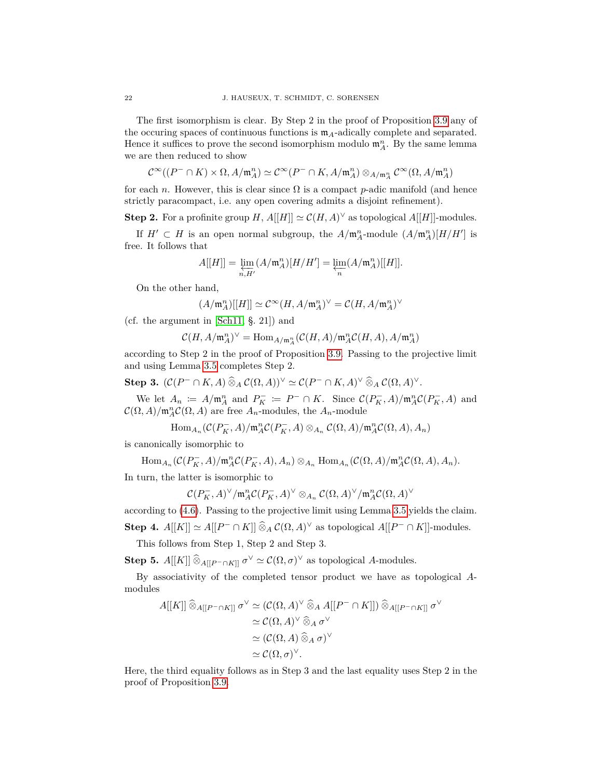The first isomorphism is clear. By Step 2 in the proof of Proposition [3.9](#page-12-2) any of the occuring spaces of continuous functions is  $m_A$ -adically complete and separated. Hence it suffices to prove the second isomorphism modulo  $\mathfrak{m}_A^n$ . By the same lemma we are then reduced to show

$$
\mathcal{C}^\infty((P^-\cap K)\times \Omega,A/\mathfrak{m}_A^n) \simeq \mathcal{C}^\infty(P^-\cap K,A/\mathfrak{m}_A^n) \otimes_{A/\mathfrak{m}_A^n} \mathcal{C}^\infty(\Omega,A/\mathfrak{m}_A^n)
$$

for each *n*. However, this is clear since  $\Omega$  is a compact *p*-adic manifold (and hence strictly paracompact, i.e. any open covering admits a disjoint refinement).

**Step 2.** For a profinite group *H*,  $A[[H]] \simeq C(H, A)^\vee$  as topological  $A[[H]]$ -modules.

If  $H' \subset H$  is an open normal subgroup, the  $A/\mathfrak{m}_A^n$ -module  $(A/\mathfrak{m}_A^n)[H/H']$  is free. It follows that

$$
A[[H]] = \varprojlim_{n,H'} (A/\mathfrak{m}_A^n)[H/H'] = \varprojlim_n (A/\mathfrak{m}_A^n)[[H]].
$$

On the other hand,

$$
(A/\mathfrak{m}_{A}^{n})[[H]]\simeq \mathcal{C}^{\infty}(H,A/\mathfrak{m}_{A}^{n})^{\vee}=\mathcal{C}(H,A/\mathfrak{m}_{A}^{n})^{\vee}
$$

(cf. the argument in [\[Sch11,](#page-27-2) §. 21]) and

$$
\mathcal{C}(H,A/\mathfrak{m}_A^n)^{\vee} = \text{Hom}_{A/\mathfrak{m}_A^n}(\mathcal{C}(H,A)/\mathfrak{m}_A^n \mathcal{C}(H,A), A/\mathfrak{m}_A^n)
$$

according to Step 2 in the proof of Proposition [3.9.](#page-12-2) Passing to the projective limit and using Lemma [3.5](#page-12-1) completes Step 2.

**Step 3.** 
$$
(C(P^- \cap K, A) \widehat{\otimes}_A C(\Omega, A))^{\vee} \simeq C(P^- \cap K, A)^{\vee} \widehat{\otimes}_A C(\Omega, A)^{\vee}.
$$

We let  $A_n := A/\mathfrak{m}_A^n$  and  $P_K^- := P^- \cap K$ . Since  $\mathcal{C}(P_K^-, A)/\mathfrak{m}_A^n \mathcal{C}(P_K^-, A)$  and  $\mathcal{C}(\Omega, A)/\mathfrak{m}_A^n \mathcal{C}(\Omega, A)$  are free  $A_n$ -modules, the  $A_n$ -module

$$
\operatorname{Hom}_{A_n}(\mathcal{C}(P_K^-,A)/\mathfrak{m}_A^n\mathcal{C}(P_K^-,A)\otimes_{A_n}\mathcal{C}(\Omega,A)/\mathfrak{m}_A^n\mathcal{C}(\Omega,A),A_n)
$$

is canonically isomorphic to

$$
\text{Hom}_{A_n}(\mathcal{C}(P_K^-,A)/\mathfrak{m}_A^n\mathcal{C}(P_K^-,A),A_n)\otimes_{A_n}\text{Hom}_{A_n}(\mathcal{C}(\Omega,A)/\mathfrak{m}_A^n\mathcal{C}(\Omega,A),A_n).
$$

In turn, the latter is isomorphic to

$$
{\mathcal C}(P_K^-,A)^\vee/{\mathfrak m}_A^n{\mathcal C}(P_K^-,A)^\vee\otimes_{A_n} {\mathcal C}(\Omega,A)^\vee/{\mathfrak m}_A^n{\mathcal C}(\Omega,A)^\vee
$$

according to [\(4.6\)](#page-19-0). Passing to the projective limit using Lemma [3.5](#page-12-1) yields the claim.

**Step 4.**  $A[[K]] \simeq A[[P^- \cap K]] \widehat{\otimes}_A C(\Omega, A)^\vee$  as topological  $A[[P^- \cap K]]$ -modules.

This follows from Step 1, Step 2 and Step 3.

**Step 5.** *A*[[*K*]]  $\widehat{\otimes}_{A[[P^-\cap K]]} \sigma^{\vee} \simeq C(\Omega, \sigma)^{\vee}$  as topological *A*-modules.

By associativity of the completed tensor product we have as topological *A*modules

$$
A[[K]] \widehat{\otimes}_{A[[P^-\cap K]]} \sigma^{\vee} \simeq (\mathcal{C}(\Omega, A)^{\vee} \widehat{\otimes}_{A} A[[P^-\cap K]]) \widehat{\otimes}_{A[[P^-\cap K]]} \sigma^{\vee}
$$
  
\n
$$
\simeq \mathcal{C}(\Omega, A)^{\vee} \widehat{\otimes}_{A} \sigma^{\vee}
$$
  
\n
$$
\simeq (\mathcal{C}(\Omega, A) \widehat{\otimes}_{A} \sigma)^{\vee}
$$
  
\n
$$
\simeq \mathcal{C}(\Omega, \sigma)^{\vee}.
$$

Here, the third equality follows as in Step 3 and the last equality uses Step 2 in the proof of Proposition [3.9.](#page-12-2)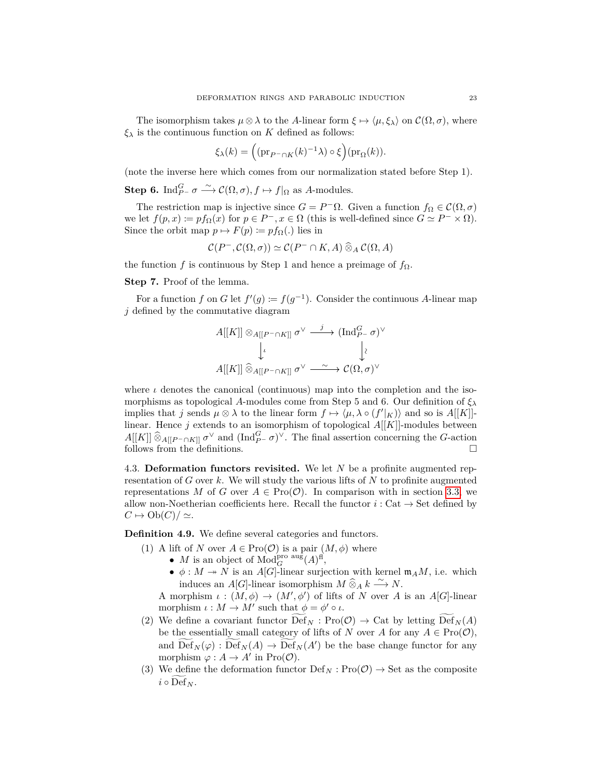The isomorphism takes  $\mu \otimes \lambda$  to the *A*-linear form  $\xi \mapsto \langle \mu, \xi_{\lambda} \rangle$  on  $\mathcal{C}(\Omega, \sigma)$ , where  $\xi_{\lambda}$  is the continuous function on *K* defined as follows:

$$
\xi_{\lambda}(k) = \left( (\mathrm{pr}_{P^-\cap K}(k)^{-1}\lambda) \circ \xi \right) (\mathrm{pr}_{\Omega}(k)).
$$

(note the inverse here which comes from our normalization stated before Step 1).

**Step 6.** Ind<sub>*P*</sub>- $\sigma \xrightarrow{\sim} \mathcal{C}(\Omega, \sigma), f \mapsto f|_{\Omega}$  as *A*-modules.

The restriction map is injective since  $G = P^{-} \Omega$ . Given a function  $f_{\Omega} \in \mathcal{C}(\Omega, \sigma)$ we let  $f(p, x) \coloneqq pf_{\Omega}(x)$  for  $p \in P^-$ ,  $x \in \Omega$  (this is well-defined since  $G \simeq P^- \times \Omega$ ). Since the orbit map  $p \mapsto F(p) := pf_{\Omega}$ .) lies in

$$
\mathcal{C}(P^-, \mathcal{C}(\Omega, \sigma)) \simeq \mathcal{C}(P^- \cap K, A) \widehat{\otimes}_A \mathcal{C}(\Omega, A)
$$

the function *f* is continuous by Step 1 and hence a preimage of  $f_{\Omega}$ .

## **Step 7.** Proof of the lemma.

For a function *f* on *G* let  $f'(g) := f(g^{-1})$ . Consider the continuous *A*-linear map *j* defined by the commutative diagram

$$
A[[K]] \otimes_{A[[P^-\cap K]]} \sigma^{\vee} \xrightarrow{j} (\text{Ind}_{P^-\sigma}^G)^{\vee}
$$

$$
\downarrow \iota \qquad \qquad \downarrow \iota
$$

$$
A[[K]] \widehat{\otimes}_{A[[P^-\cap K]]} \sigma^{\vee} \xrightarrow{\sim} \mathcal{C}(\Omega, \sigma)^{\vee}
$$

where  $\iota$  denotes the canonical (continuous) map into the completion and the isomorphisms as topological *A*-modules come from Step 5 and 6. Our definition of  $\xi_{\lambda}$ implies that *j* sends  $\mu \otimes \lambda$  to the linear form  $f \mapsto \langle \mu, \lambda \circ (f' |_{K}) \rangle$  and so is  $A[[K]]$ linear. Hence *j* extends to an isomorphism of topological *A*[[*K*]]-modules between  $A[[K]] \widehat{\otimes}_{A[[P^-\cap K]]} \sigma^{\vee}$  and  $(\text{Ind}_{P^-\}^G)^\vee$ . The final assertion concerning the *G*-action follows from the definitions.

<span id="page-22-0"></span>4.3. **Deformation functors revisited.** We let *N* be a profinite augmented representation of *G* over *k*. We will study the various lifts of *N* to profinite augmented representations *M* of *G* over  $A \in \text{Pro}(\mathcal{O})$ . In comparison with in section [3.3,](#page-15-0) we allow non-Noetherian coefficients here. Recall the functor  $i:$  Cat  $\rightarrow$  Set defined by  $C \mapsto \mathrm{Ob}(C)/\simeq$ .

<span id="page-22-1"></span>**Definition 4.9.** We define several categories and functors.

- (1) A lift of *N* over  $A \in \text{Pro}(\mathcal{O})$  is a pair  $(M, \phi)$  where
	- *M* is an object of  $\text{Mod}_{G}^{\text{pro aug}}(A)^{\text{fl}}$ ,
	- $\phi: M \to N$  is an *A*[*G*]-linear surjection with kernel  $\mathfrak{m}_A M$ , i.e. which induces an *A*[*G*]-linear isomorphism  $M \otimes_A k \xrightarrow{\sim} N$ .

A morphism  $\iota : (M, \phi) \to (M', \phi')$  of lifts of *N* over *A* is an *A*[*G*]-linear morphism  $\iota : M \to M'$  such that  $\phi = \phi' \circ \iota$ .

- (2) We define a covariant functor  $\mathrm{Def}_N : \mathrm{Pro}(\mathcal{O}) \to \mathrm{Cat}$  by letting  $\mathrm{Def}_N(A)$ be the essentially small category of lifts of *N* over *A* for any  $A \in \text{Pro}(\mathcal{O}),$ and  $\overline{\text{Def}}_N(\varphi) : \overline{\text{Def}}_N(A) \to \overline{\text{Def}}_N(A')$  be the base change functor for any morphism  $\varphi : A \to A'$  in Pro( $\mathcal{O}$ ).
- (3) We define the deformation functor  $\text{Def}_N : \text{Pro}(\mathcal{O}) \to \text{Set}$  as the composite  $i \circ \mathrm{Def}_{N}$ .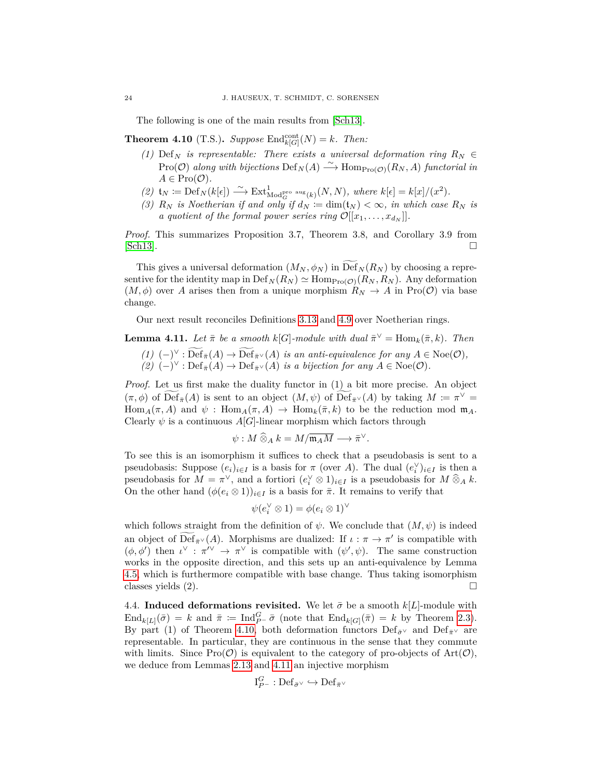The following is one of the main results from [\[Sch13\]](#page-27-0).

<span id="page-23-1"></span>**Theorem 4.10** (T.S.). *Suppose*  $\text{End}_{k[G]}^{\text{cont}}(N) = k$ *. Then:* 

- *(1)* Def<sub>N</sub> *is representable: There exists a universal deformation ring*  $R_N \in$  $\text{Pro}(\mathcal{O})$  along with bijections  $\text{Def}_N(A) \stackrel{\sim}{\longrightarrow} \text{Hom}_{\text{Pro}(\mathcal{O})}(R_N, A)$  functorial in  $A \in \text{Pro}(\mathcal{O})$ .
- $(2)$   $\mathfrak{t}_N := \mathrm{Def}_N(k[\epsilon]) \xrightarrow{\sim} \mathrm{Ext}^1_{\mathrm{Mod}_G^{\mathrm{pro\ aug}}(k)}(N,N)$ , where  $k[\epsilon] = k[x]/(x^2)$ .
- *(3)*  $R_N$  *is Noetherian if and only if*  $d_N := \dim(\mathfrak{t}_N) < \infty$ *, in which case*  $R_N$  *is a quotient of the formal power series ring*  $\mathcal{O}[[x_1, \ldots, x_{d_N}]]$ .

*Proof.* This summarizes Proposition 3.7, Theorem 3.8, and Corollary 3.9 from  $[Sch13]$ .

This gives a universal deformation  $(M_N, \phi_N)$  in Def<sub>N</sub> $(R_N)$  by choosing a representive for the identity map in  $\mathrm{Def}_N(R_N) \simeq \mathrm{Hom}_{\mathrm{Pro}(\mathcal{O})}(R_N, R_N)$ . Any deformation  $(M, \phi)$  over *A* arises then from a unique morphism  $R_N \to A$  in Pro(O) via base change.

Our next result reconciles Definitions [3.13](#page-15-3) and [4.9](#page-22-1) over Noetherian rings.

<span id="page-23-2"></span>**Lemma 4.11.** *Let*  $\bar{\pi}$  *be a smooth*  $k[G]$ *-module with dual*  $\bar{\pi}^{\vee} = \text{Hom}_k(\bar{\pi}, k)$ *. Then* (1)  $(-)^{\vee}$ :  $\overline{\text{Def}}_{\bar{\pi}}(A) \to \overline{\text{Def}}_{\bar{\pi}^{\vee}}(A)$  is an anti-equivalence for any  $A \in \text{Noe}(\mathcal{O}),$ <br>(2)  $(-)^{\vee}$ :  $\text{Def}_{\bar{\pi}}(A) \to \text{Def}_{\bar{\pi}^{\vee}}(A)$  is a bijection for any  $A \in \text{Noe}(\mathcal{O}).$ 

*Proof.* Let us first make the duality functor in (1) a bit more precise. An object  $(\pi, \phi)$  of  $\overline{\text{Def}}_{\bar{\pi}}(A)$  is sent to an object  $(M, \psi)$  of  $\overline{\text{Def}}_{\bar{\pi}}(A)$  by taking  $M := \pi^{\vee}$ Hom<sub>*A*</sub>( $\pi$ , *A*) and  $\psi$ : Hom<sub>*A*</sub>( $\pi$ , *A*)  $\rightarrow$  Hom<sub>*k*</sub>( $\bar{\pi}$ , *k*) to be the reduction mod m<sub>*A*</sub>. Clearly  $\psi$  is a continuous  $A[G]$ -linear morphism which factors through

$$
\psi: M\mathbin{\widehat{\otimes}}_A k = M/\overline{\mathfrak{m}_A M} \longrightarrow \overline{\pi}^{\vee}.
$$

To see this is an isomorphism it suffices to check that a pseudobasis is sent to a pseudobasis: Suppose  $(e_i)_{i \in I}$  is a basis for  $\pi$  (over *A*). The dual  $(e_i^{\vee})_{i \in I}$  is then a pseudobasis for  $M = \pi^{\vee}$ , and a fortiori  $(e_i^{\vee} \otimes 1)_{i \in I}$  is a pseudobasis for  $M \widehat{\otimes}_A k$ . On the other hand  $(\phi(e_i \otimes 1))_{i \in I}$  is a basis for  $\bar{\pi}$ . It remains to verify that

$$
\psi(e_i^{\vee} \otimes 1) = \phi(e_i \otimes 1)^{\vee}
$$

which follows straight from the definition of  $\psi$ . We conclude that  $(M, \psi)$  is indeed an object of  $\widetilde{\text{Def}}_{\bar{\pi}} \vee (A)$ . Morphisms are dualized: If  $\iota : \pi \to \pi'$  is compatible with  $(\phi, \phi')$  then  $\iota^{\vee} : \pi^{\vee} \to \pi^{\vee}$  is compatible with  $(\psi', \psi)$ . The same construction works in the opposite direction, and this sets up an anti-equivalence by Lemma [4.5,](#page-18-2) which is furthermore compatible with base change. Thus taking isomorphism classes yields  $(2)$ .

<span id="page-23-0"></span>4.4. **Induced deformations revisited.** We let  $\bar{\sigma}$  be a smooth  $k[L]$ -module with  $\text{End}_{k[L]}(\bar{\sigma}) = k$  and  $\bar{\pi} := \text{Ind}_{P^-}^G \bar{\sigma}$  (note that  $\text{End}_{k[G]}(\bar{\pi}) = k$  by Theorem [2.3\)](#page-6-0). By part (1) of Theorem [4.10,](#page-23-1) both deformation functors  $\text{Def}_{\bar{\sigma}}\vee$  and  $\text{Def}_{\bar{\pi}}\vee$  are representable. In particular, they are continuous in the sense that they commute with limits. Since  $\text{Pro}(\mathcal{O})$  is equivalent to the category of pro-objects of  $\text{Art}(\mathcal{O})$ , we deduce from Lemmas [2.13](#page-9-2) and [4.11](#page-23-2) an injective morphism

$$
\mathrm{I}_{P^-}^G : \mathrm{Def}_{\bar{\sigma}^\vee} \hookrightarrow \mathrm{Def}_{\bar{\pi}^\vee}
$$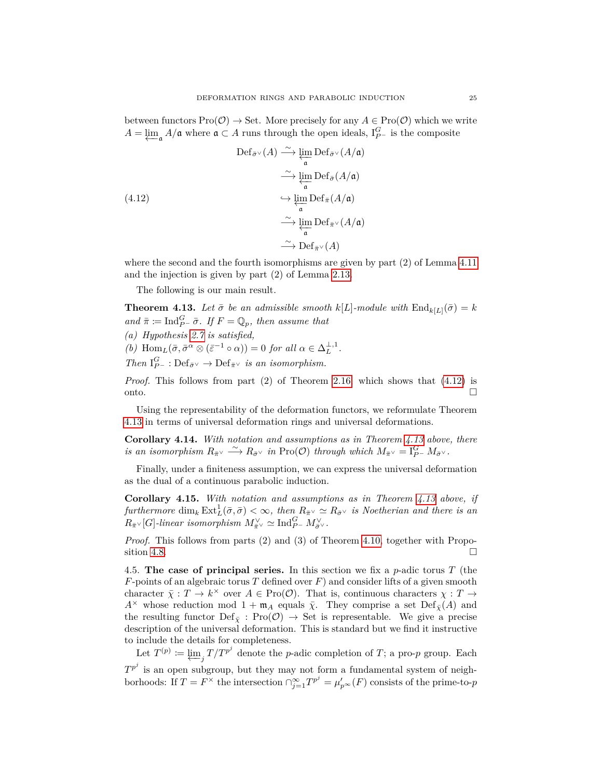between functors  $\text{Pro}(\mathcal{O}) \to \text{Set}$ . More precisely for any  $A \in \text{Pro}(\mathcal{O})$  which we write  $A = \underleftarrow{\lim}_{\mathfrak{a}} A/\mathfrak{a}$  where  $\mathfrak{a} \subset A$  runs through the open ideals,  $I_{P^-}^G$  is the composite

<span id="page-24-3"></span>(4.12)  
\n
$$
\operatorname{Def}_{\bar{\sigma}^{\vee}}(A) \xrightarrow{\sim} \varprojlim_{\mathfrak{a}} \operatorname{Def}_{\bar{\sigma}^{\vee}}(A/\mathfrak{a})
$$
\n
$$
\xrightarrow{\sim} \varprojlim_{\mathfrak{a}} \operatorname{Def}_{\bar{\sigma}}(A/\mathfrak{a})
$$
\n
$$
\xrightarrow{\sim} \varprojlim_{\mathfrak{a}} \operatorname{Def}_{\bar{\pi}}(A/\mathfrak{a})
$$
\n
$$
\xrightarrow{\sim} \varprojlim_{\mathfrak{a}} \operatorname{Def}_{\bar{\pi}^{\vee}}(A/\mathfrak{a})
$$
\n
$$
\xrightarrow{\sim} \operatorname{Def}_{\bar{\pi}^{\vee}}(A)
$$

where the second and the fourth isomorphisms are given by part (2) of Lemma [4.11](#page-23-2) and the injection is given by part (2) of Lemma [2.13.](#page-9-2)

The following is our main result.

<span id="page-24-4"></span>**Theorem 4.13.** Let  $\bar{\sigma}$  be an admissible smooth  $k[L]$ -module with  $\text{End}_{k[L]}(\bar{\sigma}) = k$  $and \bar{\pi} := \text{Ind}_{P^-}^G \bar{\sigma}$ *. If*  $F = \mathbb{Q}_p$ *, then assume that* 

- *(a) Hypothesis [2.7](#page-7-2) is satisfied,*
- *(b)*  $\text{Hom}_{L}(\bar{\sigma}, \bar{\sigma}^{\alpha} \otimes (\bar{\varepsilon}^{-1} \circ \alpha)) = 0$  *for all*  $\alpha \in \Delta_{L}^{\perp,1}$ .
- *Then*  $I_{P^-}^G$  : Def<sub> $\bar{\sigma}^\vee$ </sub>  $\rightarrow$  Def $_{\bar{\pi}^\vee}$  *is an isomorphism.*

*Proof.* This follows from part (2) of Theorem [2.16,](#page-9-0) which shows that [\(4.12\)](#page-24-3) is onto.

Using the representability of the deformation functors, we reformulate Theorem [4.13](#page-24-4) in terms of universal deformation rings and universal deformations.

<span id="page-24-1"></span>**Corollary 4.14.** *With notation and assumptions as in Theorem [4.13](#page-24-4) above, there*  $\overline{R}_{\overline{n}} \times \overline{R}_{\overline{p}} \times \overline{R}_{\overline{p}} \times \overline{R}_{\overline{p}} \times \overline{R}_{\overline{p}} \times \overline{R}_{\overline{p}} \times \overline{R}_{\overline{p}} \times \overline{R}_{\overline{p}} \times \overline{R}_{\overline{p}} \times \overline{R}_{\overline{p}} \times \overline{R}_{\overline{p}} \times \overline{R}_{\overline{p}} \times \overline{R}_{\overline{p}} \times \overline{R}_{\overline{p}} \times \overline{R}_{\overline{p}} \times \overline{R}_{\overline{p$ 

Finally, under a finiteness assumption, we can express the universal deformation as the dual of a continuous parabolic induction.

<span id="page-24-2"></span>**Corollary 4.15.** *With notation and assumptions as in Theorem [4.13](#page-24-4) above, if*  $furthermore \dim_k \text{Ext}^1_L(\bar{\sigma}, \bar{\sigma}) < \infty$ , then  $R_{\bar{\pi}} \vee \simeq R_{\bar{\sigma}} \vee$  *is Noetherian and there is an*  $R_{\bar{\pi}} \vee [G]$ *-linear isomorphism*  $M_{\bar{\pi}}^{\vee} \simeq \text{Ind}_{P^-}^G M_{\bar{\sigma}}^{\vee}$ .

*Proof.* This follows from parts (2) and (3) of Theorem [4.10,](#page-23-1) together with Propo-sition [4.8.](#page-20-0)

<span id="page-24-0"></span>4.5. **The case of principal series.** In this section we fix a *p*-adic torus *T* (the *F*-points of an algebraic torus *T* defined over *F*) and consider lifts of a given smooth character  $\bar{\chi}: T \to k^{\times}$  over  $A \in \text{Pro}(\mathcal{O})$ . That is, continuous characters  $\chi: T \to$ *A*<sup>×</sup> whose reduction mod  $1 + \mathfrak{m}_A$  equals *χ*. They comprise a set  $\mathrm{Def}_{\bar{X}}(A)$  and the resulting functor  $\text{Def}_{\bar{\chi}}$  :  $\text{Pro}(\mathcal{O}) \to \text{Set}$  is representable. We give a precise description of the universal deformation. This is standard but we find it instructive to include the details for completeness.

Let  $T^{(p)} := \underleftarrow{\lim}_{j} T / T^{p^j}$  denote the *p*-adic completion of *T*; a pro-*p* group. Each  $T^{p^j}$  is an open subgroup, but they may not form a fundamental system of neighborhoods: If  $T = F^{\times}$  the intersection  $\bigcap_{j=1}^{\infty} T^{p^j} = \mu'_p \otimes (F)$  consists of the prime-to-*p*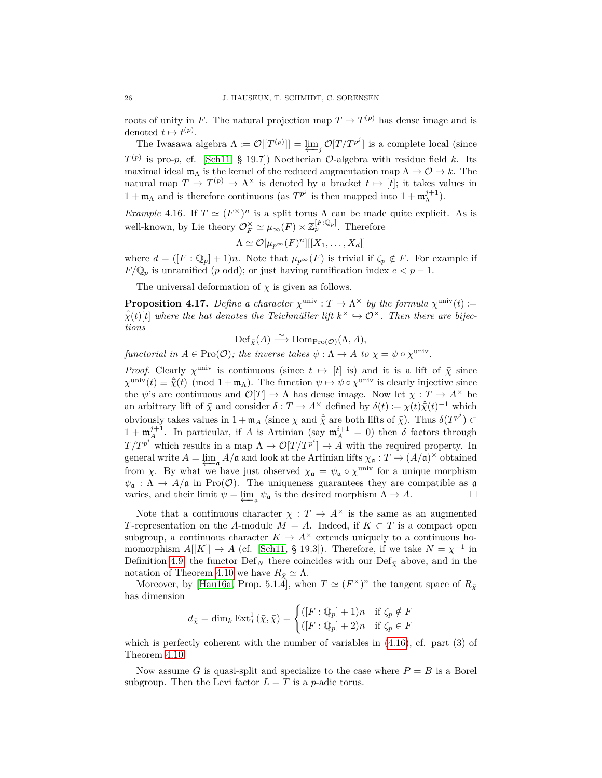roots of unity in *F*. The natural projection map  $T \to T^{(p)}$  has dense image and is denoted  $t \mapsto t^{(p)}$ .

The Iwasawa algebra  $\Lambda \coloneqq \mathcal{O}[[T^{(p)}]] = \varprojlim_j \mathcal{O}[T/T^{p^j}]$  is a complete local (since  $T^{(p)}$  is pro-*p*, cf. [\[Sch11,](#page-27-2) § 19.7]) Noetherian  $\mathcal{O}$ -algebra with residue field *k*. Its maximal ideal  $m_A$  is the kernel of the reduced augmentation map  $\Lambda \to \mathcal{O} \to k$ . The natural map  $T \to T^{(p)} \to \Lambda^{\times}$  is denoted by a bracket  $t \mapsto [t]$ ; it takes values in  $1 + \mathfrak{m}_{\Lambda}$  and is therefore continuous (as  $T^{p^j}$  is then mapped into  $1 + \mathfrak{m}_{\Lambda}^{j+1}$ ).

<span id="page-25-0"></span>*Example* 4.16. If  $T \simeq (F^{\times})^n$  is a split torus  $\Lambda$  can be made quite explicit. As is well-known, by Lie theory  $\mathcal{O}_F^{\times} \simeq \mu_{\infty}(F) \times \mathbb{Z}_p^{[F:\mathbb{Q}_p]}$ . Therefore

$$
\Lambda \simeq \mathcal{O}[\mu_{p^{\infty}}(F)^{n}][[X_1,\ldots,X_d]]
$$

where  $d = (F : \mathbb{Q}_p] + 1)n$ . Note that  $\mu_{p^{\infty}}(F)$  is trivial if  $\zeta_p \notin F$ . For example if  $F/\mathbb{Q}_p$  is unramified (*p* odd); or just having ramification index  $e < p - 1$ .

The universal deformation of  $\bar{\chi}$  is given as follows.

<span id="page-25-1"></span>**Proposition 4.17.** *Define a character*  $\chi^{\text{univ}}$  :  $T \to \Lambda^{\times}$  *by the formula*  $\chi^{\text{univ}}(t)$  :=  $\hat{\vec{\chi}}(t)[t]$  where the hat denotes the Teichmüller lift  $k^{\times} \hookrightarrow \mathcal{O}^{\times}$ . Then there are bijec*tions*

 $\mathrm{Def}_{\bar{\chi}}(A) \stackrel{\sim}{\longrightarrow} \mathrm{Hom}_{\mathrm{Pro}(\mathcal{O})}(\Lambda, A),$ 

*functorial in*  $A \in \text{Pro}(\mathcal{O})$ ; the inverse takes  $\psi : \Lambda \to A$  to  $\chi = \psi \circ \chi^{\text{univ}}$ .

*Proof.* Clearly  $\chi^{\text{univ}}$  is continuous (since  $t \mapsto [t]$  is) and it is a lift of  $\bar{\chi}$  since  $\chi^{\text{univ}}(t) \equiv \hat{\overline{\chi}}(t) \pmod{1 + \mathfrak{m}_{\Lambda}}$ . The function  $\psi \mapsto \psi \circ \chi^{\text{univ}}$  is clearly injective since the  $\psi$ 's are continuous and  $\mathcal{O}[T] \to \Lambda$  has dense image. Now let  $\chi : T \to A^{\times}$  be an arbitrary lift of  $\bar{\chi}$  and consider  $\delta: T \to A^{\times}$  defined by  $\delta(t) := \chi(t)\hat{\bar{\chi}}(t)^{-1}$  which obviously takes values in  $1 + \mathfrak{m}_A$  (since  $\chi$  and  $\hat{\overline{\chi}}$  are both lifts of  $\overline{\chi}$ ). Thus  $\delta(T^{p^j}) \subset$  $1 + \mathfrak{m}_{A}^{j+1}$ . In particular, if *A* is Artinian (say  $\mathfrak{m}_{A}^{i+1} = 0$ ) then *δ* factors through  $T/T^{p^i}$  which results in a map  $\Lambda \to \mathcal{O}[T/T^{p^i}] \to A$  with the required property. In general write  $A = \lim_{\Delta A} A/\mathfrak{a}$  and look at the Artinian lifts  $\chi_{\mathfrak{a}} : T \to (A/\mathfrak{a})^{\times}$  obtained ←−a from *χ*. By what we have just observed  $\chi_{\mathfrak{a}} = \psi_{\mathfrak{a}} \circ \chi^{\text{univ}}$  for a unique morphism  $\psi_{\mathfrak{a}} : \Lambda \to A/\mathfrak{a}$  in Pro( $\mathcal{O}$ ). The uniqueness guarantees they are compatible as  $\mathfrak{a}$ varies, and their limit  $\psi = \varprojlim_{\mathfrak{a}} \psi_{\mathfrak{a}}$  is the desired morphism  $\Lambda \to A$ .

Note that a continuous character  $\chi : T \to A^{\times}$  is the same as an augmented *T*-representation on the *A*-module  $M = A$ . Indeed, if  $K \subset T$  is a compact open subgroup, a continuous character  $K \to A^{\times}$  extends uniquely to a continuous homomorphism  $A[[K]] \to A$  (cf. [\[Sch11,](#page-27-2) § 19.3]). Therefore, if we take  $N = \overline{\chi}^{-1}$  in Definition [4.9,](#page-22-1) the functor  $\mathrm{Def}_N$  there coincides with our  $\mathrm{Def}_{\bar{\chi}}$  above, and in the notation of Theorem [4.10](#page-23-1) we have  $R_{\bar{x}} \simeq \Lambda$ .

Moreover, by [\[Hau16a,](#page-26-13) Prop. 5.1.4], when  $T \simeq (F^{\times})^n$  the tangent space of  $R_{\bar{X}}$ has dimension

$$
d_{\bar{\chi}} = \dim_k \operatorname{Ext}^1_T(\bar{\chi}, \bar{\chi}) = \begin{cases} ([F : \mathbb{Q}_p] + 1)n & \text{if } \zeta_p \notin F \\ ([F : \mathbb{Q}_p] + 2)n & \text{if } \zeta_p \in F \end{cases}
$$

which is perfectly coherent with the number of variables in [\(4.16\)](#page-25-0), cf. part (3) of Theorem [4.10.](#page-23-1)

Now assume *G* is quasi-split and specialize to the case where  $P = B$  is a Borel subgroup. Then the Levi factor  $L = T$  is a *p*-adic torus.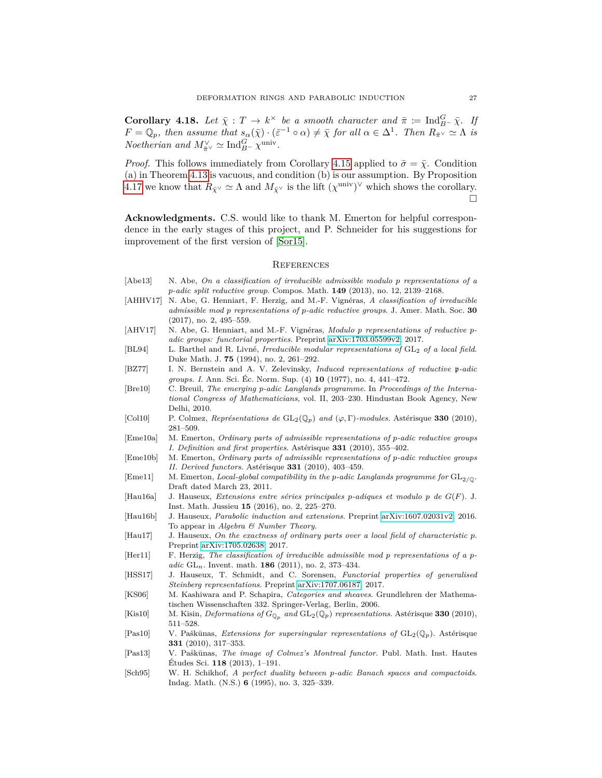**Corollary 4.18.** *Let*  $\bar{\chi}: T \to k^{\times}$  *be a smooth character and*  $\bar{\pi} := \text{Ind}_{B^{-}}^{G} \bar{\chi}$ *. If*  $F = \mathbb{Q}_p$ , then assume that  $s_\alpha(\bar{\chi}) \cdot (\bar{\varepsilon}^{-1} \circ \alpha) \neq \bar{\chi}$  for all  $\alpha \in \Delta^1$ . Then  $R_{\bar{\pi}} \sim \Delta \chi$  is *Noetherian and*  $M_{\bar{\pi}}^{\vee} \simeq \text{Ind}_{B^-}^G \chi^{\text{univ}}$ .

*Proof.* This follows immediately from Corollary [4.15](#page-24-2) applied to  $\bar{\sigma} = \bar{\chi}$ . Condition (a) in Theorem [4.13](#page-24-4) is vacuous, and condition (b) is our assumption. By Proposition [4.17](#page-25-1) we know that  $R_{\bar{X}} \sim \Delta$  and  $M_{\bar{X}} \sim$  is the lift  $(\chi^{\text{univ}})^{\vee}$  which shows the corollary. 'n

<span id="page-26-0"></span>**Acknowledgments.** C.S. would like to thank M. Emerton for helpful correspondence in the early stages of this project, and P. Schneider for his suggestions for improvement of the first version of [\[Sor15\]](#page-27-1).

### <span id="page-26-1"></span>**REFERENCES**

- <span id="page-26-6"></span>[Abe13] N. Abe, *On a classification of irreducible admissible modulo p representations of a p-adic split reductive group*. Compos. Math. **149** (2013), no. 12, 2139–2168.
- <span id="page-26-2"></span>[AHHV17] N. Abe, G. Henniart, F. Herzig, and M.-F. Vignéras, *A classification of irreducible admissible mod p representations of p-adic reductive groups*. J. Amer. Math. Soc. **30** (2017), no. 2, 495–559.
- <span id="page-26-17"></span>[AHV17] N. Abe, G. Henniart, and M.-F. Vignéras, *Modulo p representations of reductive padic groups: functorial properties*. Preprint [arXiv:1703.05599v2,](https://arxiv.org/abs/1703.05599v2) 2017.
- <span id="page-26-4"></span>[BL94] L. Barthel and R. Livné, *Irreducible modular representations of* GL<sup>2</sup> *of a local field*. Duke Math. J. **75** (1994), no. 2, 261–292.
- <span id="page-26-3"></span>[BZ77] I. N. Bernstein and A. V. Zelevinsky, *Induced representations of reductive* p*-adic groups. I*. Ann. Sci. Éc. Norm. Sup. (4) **10** (1977), no. 4, 441–472.
- <span id="page-26-7"></span>[Bre10] C. Breuil, *The emerging p-adic Langlands programme*. In *Proceedings of the International Congress of Mathematicians*, vol. II, 203–230. Hindustan Book Agency, New Delhi, 2010.
- <span id="page-26-8"></span>[Col10] P. Colmez, *Représentations de* GL2(Q*p*) *and* (*ϕ,* Γ)*-modules*. Astérisque **330** (2010), 281–509.
- <span id="page-26-11"></span>[Eme10a] M. Emerton, *Ordinary parts of admissible representations of p-adic reductive groups I. Definition and first properties*. Astérisque **331** (2010), 355–402.
- <span id="page-26-19"></span>[Eme10b] M. Emerton, *Ordinary parts of admissible representations of p-adic reductive groups II. Derived functors*. Astérisque **331** (2010), 403–459.
- <span id="page-26-20"></span> $[Eme11]$  M. Emerton, *Local-global compatibility in the p-adic Langlands programme for*  $GL_2/\mathbb{Q}$ . Draft dated March 23, 2011.
- <span id="page-26-13"></span>[Hau16a] J. Hauseux, *Extensions entre séries principales p-adiques et modulo p de G*(*F*). J. Inst. Math. Jussieu **15** (2016), no. 2, 225–270.
- <span id="page-26-14"></span>[Hau16b] J. Hauseux, *Parabolic induction and extensions*. Preprint [arXiv:1607.02031v2,](https://arxiv.org/abs/1607.02031v2) 2016. To appear in *Algebra & Number Theory*.
- <span id="page-26-15"></span>[Hau17] J. Hauseux, *On the exactness of ordinary parts over a local field of characteristic p*. Preprint [arXiv:1705.02638,](https://arxiv.org/abs/1705.02638) 2017.
- <span id="page-26-5"></span>[Her11] F. Herzig, *The classification of irreducible admissible mod p representations of a padic* GL*n*. Invent. math. **186** (2011), no. 2, 373–434.
- <span id="page-26-16"></span>[HSS17] J. Hauseux, T. Schmidt, and C. Sorensen, *Functorial properties of generalised Steinberg representations*. Preprint [arXiv:1707.06187,](https://arxiv.org/abs/1707.06187) 2017.
- <span id="page-26-18"></span>[KS06] M. Kashiwara and P. Schapira, *Categories and sheaves*. Grundlehren der Mathematischen Wissenschaften 332. Springer-Verlag, Berlin, 2006.
- <span id="page-26-9"></span>[Kis10] M. Kisin, *Deformations of*  $G_{\mathbb{Q}_p}$  and  $GL_2(\mathbb{Q}_p)$  *representations*. Astérisque **330** (2010), 511–528.
- <span id="page-26-12"></span>[Pas10] V. Paškūnas, *Extensions for supersingular representations of*  $GL_2(\mathbb{Q}_p)$ . Astérisque **331** (2010), 317–353.
- <span id="page-26-10"></span>[Pas13] V. Paškūnas, *The image of Colmez's Montreal functor*. Publ. Math. Inst. Hautes Études Sci. **118** (2013), 1–191.
- <span id="page-26-21"></span>[Sch95] W. H. Schikhof, *A perfect duality between p-adic Banach spaces and compactoids*. Indag. Math. (N.S.) **6** (1995), no. 3, 325–339.